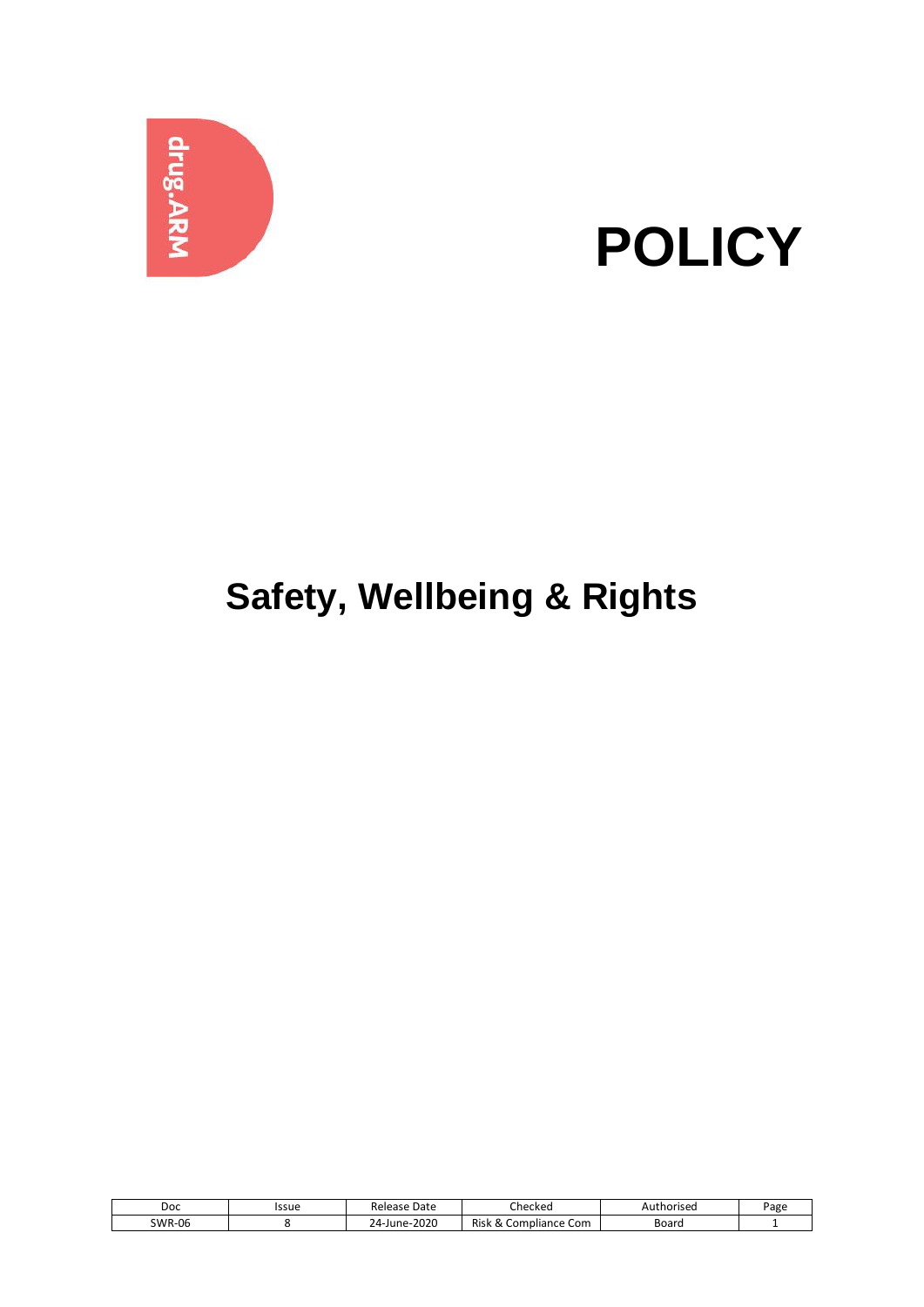

# **POLICY**

# **Safety, Wellbeing & Rights**

| Doc           | Issue | Release Date                     | Checked                                     | Authorised | Page |
|---------------|-------|----------------------------------|---------------------------------------------|------------|------|
| <b>SWR-06</b> |       | $-2020$<br>י-4<br>.-June- "<br>- | Risk<br>Com<br>$\sum$<br>npliance<br>∝<br>ື | Board      |      |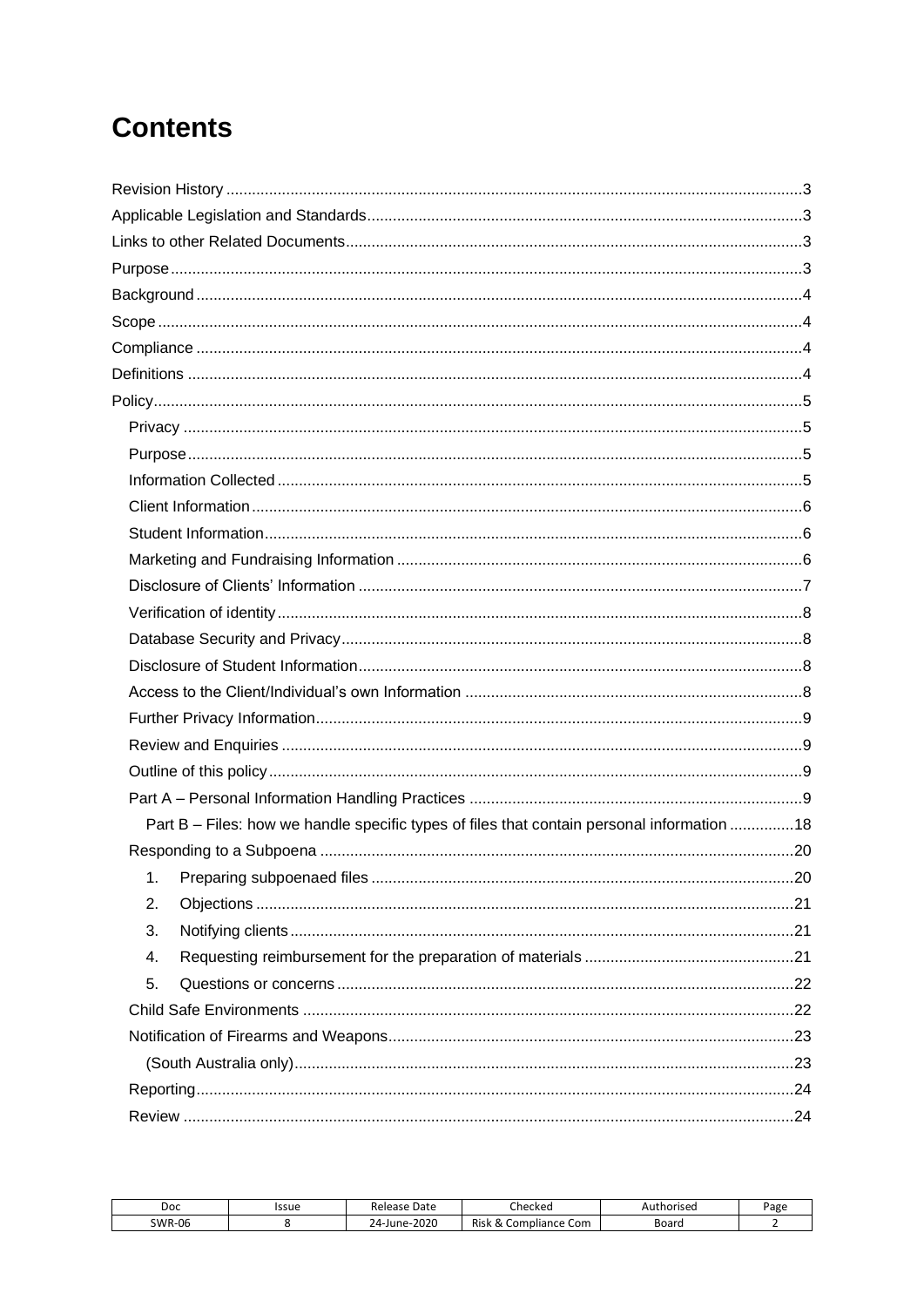# **Contents**

| Part B - Files: how we handle specific types of files that contain personal information  18 |
|---------------------------------------------------------------------------------------------|
|                                                                                             |
|                                                                                             |
| 2.                                                                                          |
| 3.                                                                                          |
| 4.                                                                                          |
| 5.                                                                                          |
|                                                                                             |
|                                                                                             |
|                                                                                             |
|                                                                                             |
|                                                                                             |

| Doc           | Issue | Date<br>Release         | Ihecked                               | Authorised | Page |
|---------------|-------|-------------------------|---------------------------------------|------------|------|
| <b>SWR-06</b> |       | 2020<br>$24$ -June- $2$ | Risk<br>റ<br>' Com<br>Compliance<br>∾ | Board      |      |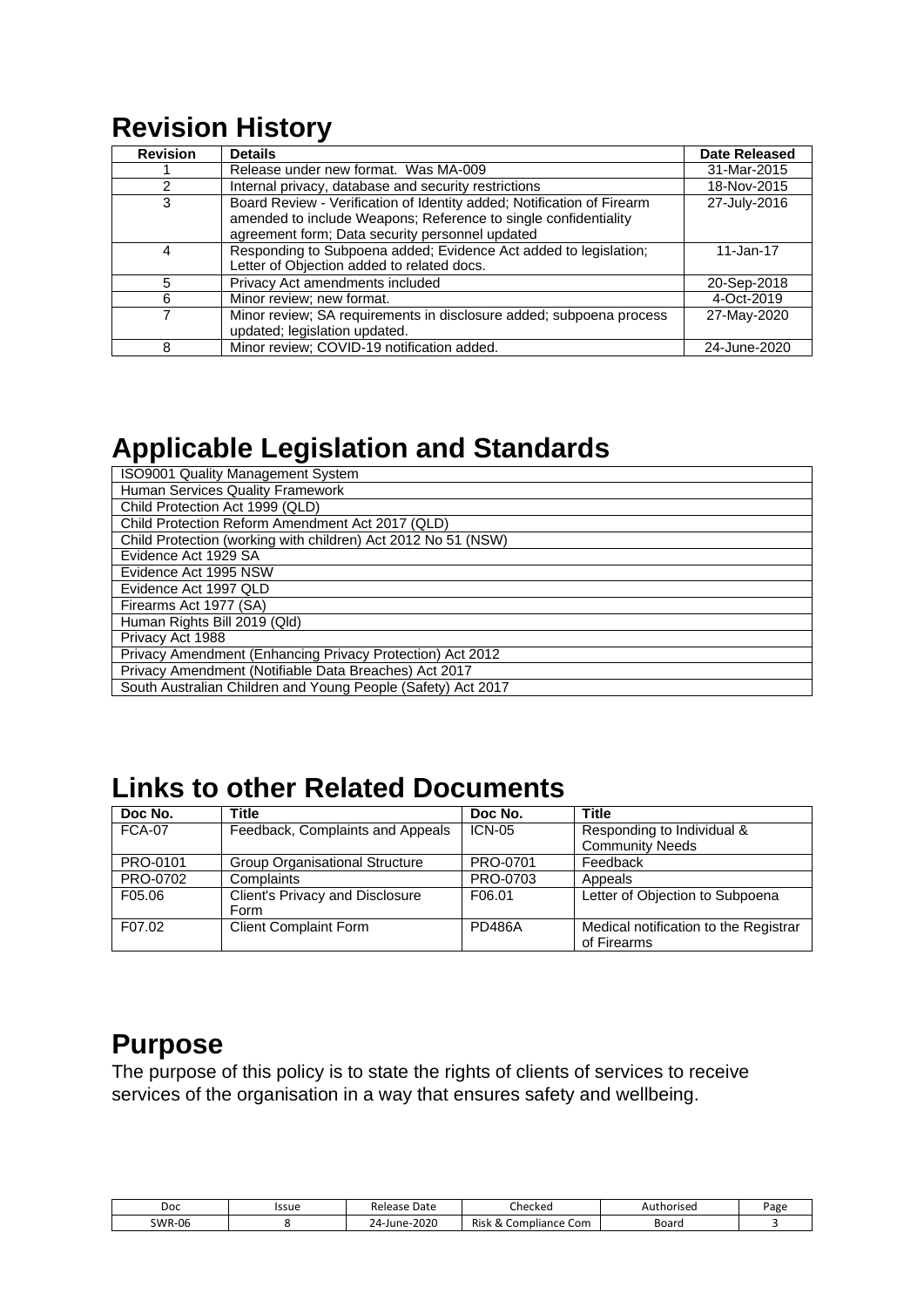# <span id="page-2-0"></span>**Revision History**

| <b>Revision</b> | <b>Details</b>                                                                                                                                                                               | <b>Date Released</b> |
|-----------------|----------------------------------------------------------------------------------------------------------------------------------------------------------------------------------------------|----------------------|
|                 | Release under new format. Was MA-009                                                                                                                                                         | 31-Mar-2015          |
| $\mathcal{P}$   | Internal privacy, database and security restrictions                                                                                                                                         | 18-Nov-2015          |
| 3               | Board Review - Verification of Identity added; Notification of Firearm<br>amended to include Weapons; Reference to single confidentiality<br>agreement form; Data security personnel updated | 27-July-2016         |
| 4               | Responding to Subpoena added; Evidence Act added to legislation;<br>Letter of Objection added to related docs.                                                                               | 11-Jan-17            |
| 5               | Privacy Act amendments included                                                                                                                                                              | 20-Sep-2018          |
| 6               | Minor review; new format.                                                                                                                                                                    | 4-Oct-2019           |
|                 | Minor review; SA requirements in disclosure added; subpoena process<br>updated; legislation updated.                                                                                         | 27-May-2020          |
| 8               | Minor review; COVID-19 notification added.                                                                                                                                                   | 24-June-2020         |

# <span id="page-2-1"></span>**Applicable Legislation and Standards**

| <b>ISO9001 Quality Management System</b>                      |
|---------------------------------------------------------------|
| Human Services Quality Framework                              |
| Child Protection Act 1999 (QLD)                               |
| Child Protection Reform Amendment Act 2017 (QLD)              |
| Child Protection (working with children) Act 2012 No 51 (NSW) |
| Evidence Act 1929 SA                                          |
| Evidence Act 1995 NSW                                         |
| Evidence Act 1997 QLD                                         |
| Firearms Act 1977 (SA)                                        |
| Human Rights Bill 2019 (Qld)                                  |
| Privacy Act 1988                                              |
| Privacy Amendment (Enhancing Privacy Protection) Act 2012     |
| Privacy Amendment (Notifiable Data Breaches) Act 2017         |
| South Australian Children and Young People (Safety) Act 2017  |

# <span id="page-2-2"></span>**Links to other Related Documents**

| Doc No.       | Title                                 | Doc No.       | Title                                 |
|---------------|---------------------------------------|---------------|---------------------------------------|
| <b>FCA-07</b> | Feedback, Complaints and Appeals      | <b>ICN-05</b> | Responding to Individual &            |
|               |                                       |               | <b>Community Needs</b>                |
| PRO-0101      | <b>Group Organisational Structure</b> | PRO-0701      | Feedback                              |
| PRO-0702      | Complaints                            | PRO-0703      | Appeals                               |
| F05.06        | Client's Privacy and Disclosure       | F06.01        | Letter of Objection to Subpoena       |
|               | Form                                  |               |                                       |
| F07.02        | <b>Client Complaint Form</b>          | <b>PD486A</b> | Medical notification to the Registrar |
|               |                                       |               | of Firearms                           |

# <span id="page-2-3"></span>**Purpose**

The purpose of this policy is to state the rights of clients of services to receive services of the organisation in a way that ensures safety and wellbeing.

| Doc           | Issue | Date<br>Release   | Checked                                                  | Authorised | ⊳age |
|---------------|-------|-------------------|----------------------------------------------------------|------------|------|
| <b>SWR-06</b> |       | 2020<br>24-June-. | Risk<br>ce Com<br>C <sub>O</sub> m<br>npliance<br>$\sim$ | Board      |      |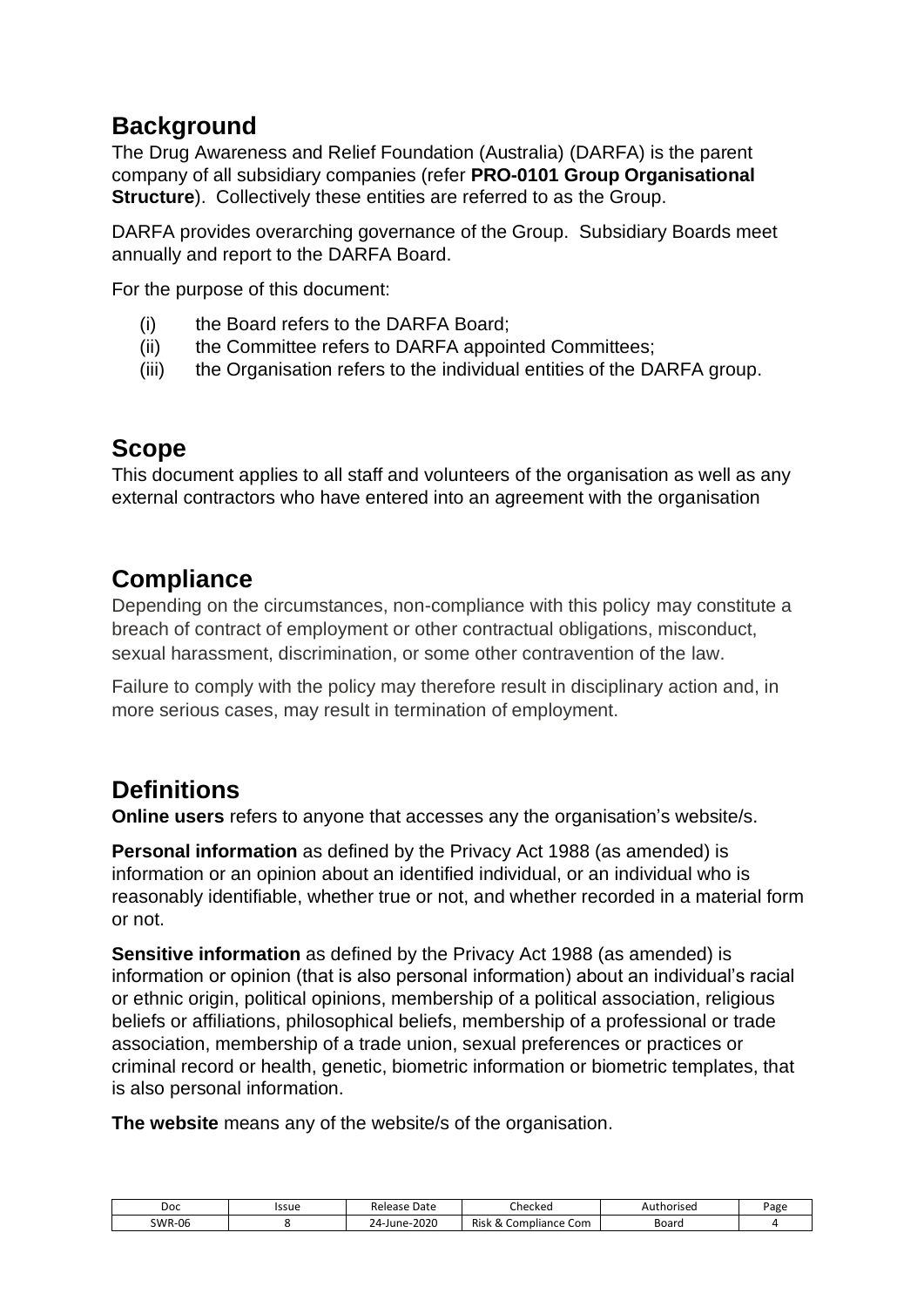## <span id="page-3-0"></span>**Background**

The Drug Awareness and Relief Foundation (Australia) (DARFA) is the parent company of all subsidiary companies (refer **PRO-0101 Group Organisational Structure**). Collectively these entities are referred to as the Group.

DARFA provides overarching governance of the Group. Subsidiary Boards meet annually and report to the DARFA Board.

For the purpose of this document:

- (i) the Board refers to the DARFA Board;
- (ii) the Committee refers to DARFA appointed Committees;
- (iii) the Organisation refers to the individual entities of the DARFA group.

### <span id="page-3-1"></span>**Scope**

This document applies to all staff and volunteers of the organisation as well as any external contractors who have entered into an agreement with the organisation

### <span id="page-3-2"></span>**Compliance**

Depending on the circumstances, non-compliance with this policy may constitute a breach of contract of employment or other contractual obligations, misconduct, sexual harassment, discrimination, or some other contravention of the law.

Failure to comply with the policy may therefore result in disciplinary action and, in more serious cases, may result in termination of employment.

### <span id="page-3-3"></span>**Definitions**

**Online users** refers to anyone that accesses any the organisation's website/s.

**Personal information** as defined by the Privacy Act 1988 (as amended) is information or an opinion about an identified individual, or an individual who is reasonably identifiable, whether true or not, and whether recorded in a material form or not.

**Sensitive information** as defined by the Privacy Act 1988 (as amended) is information or opinion (that is also personal information) about an individual's racial or ethnic origin, political opinions, membership of a political association, religious beliefs or affiliations, philosophical beliefs, membership of a professional or trade association, membership of a trade union, sexual preferences or practices or criminal record or health, genetic, biometric information or biometric templates, that is also personal information.

**The website** means any of the website/s of the organisation.

| Doc           | Issue | Date<br>Release | ~'<br>Checkec                                           | thorised:<br>AUI | Page |
|---------------|-------|-----------------|---------------------------------------------------------|------------------|------|
| <b>SWR-06</b> |       | 24-June-2020    | <b>Risk</b><br>Compliance Com<br>$\scriptstyle{\alpha}$ | Board            |      |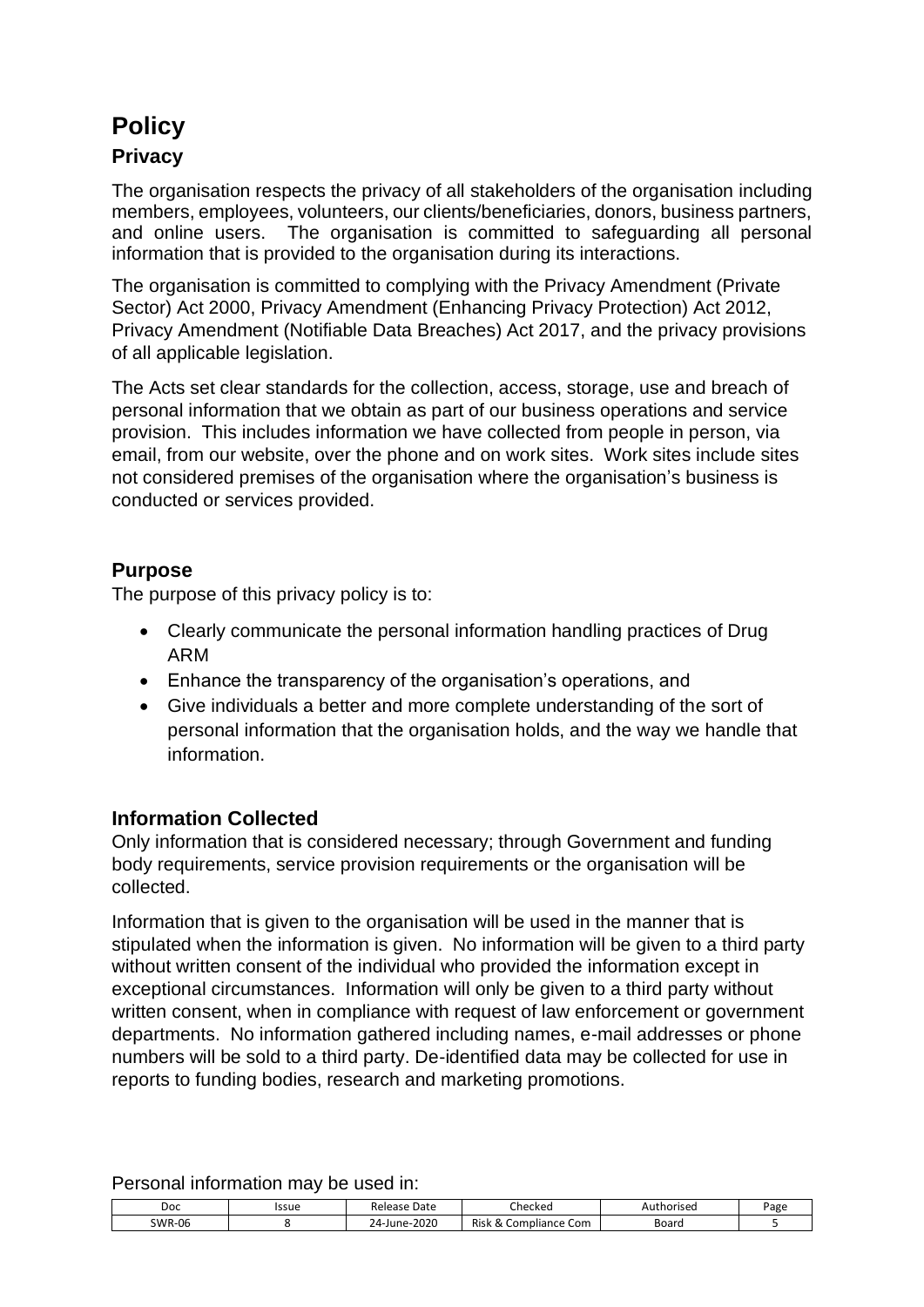# <span id="page-4-0"></span>**Policy**

#### <span id="page-4-1"></span>**Privacy**

The organisation respects the privacy of all stakeholders of the organisation including members, employees, volunteers, our clients/beneficiaries, donors, business partners, and online users. The organisation is committed to safeguarding all personal information that is provided to the organisation during its interactions.

The organisation is committed to complying with the Privacy Amendment (Private Sector) Act 2000, Privacy Amendment (Enhancing Privacy Protection) Act 2012, Privacy Amendment (Notifiable Data Breaches) Act 2017, and the privacy provisions of all applicable legislation.

The Acts set clear standards for the collection, access, storage, use and breach of personal information that we obtain as part of our business operations and service provision. This includes information we have collected from people in person, via email, from our website, over the phone and on work sites. Work sites include sites not considered premises of the organisation where the organisation's business is conducted or services provided.

#### <span id="page-4-2"></span>**Purpose**

The purpose of this privacy policy is to:

- Clearly communicate the personal information handling practices of Drug ARM
- Enhance the transparency of the organisation's operations, and
- Give individuals a better and more complete understanding of the sort of personal information that the organisation holds, and the way we handle that information.

#### <span id="page-4-3"></span>**Information Collected**

Only information that is considered necessary; through Government and funding body requirements, service provision requirements or the organisation will be collected.

Information that is given to the organisation will be used in the manner that is stipulated when the information is given. No information will be given to a third party without written consent of the individual who provided the information except in exceptional circumstances. Information will only be given to a third party without written consent, when in compliance with request of law enforcement or government departments. No information gathered including names, e-mail addresses or phone numbers will be sold to a third party. De-identified data may be collected for use in reports to funding bodies, research and marketing promotions.

| __<br>_____<br>__ | _____<br>____ | ____              |                              |            |      |
|-------------------|---------------|-------------------|------------------------------|------------|------|
| Doc               | Issue         | Release Date      | Checked                      | Authorised | Page |
| <b>SWR-06</b>     |               | 2020<br>24-June-2 | Risk<br>Compliance Com<br>Δ. | Board      |      |

Personal information may be used in: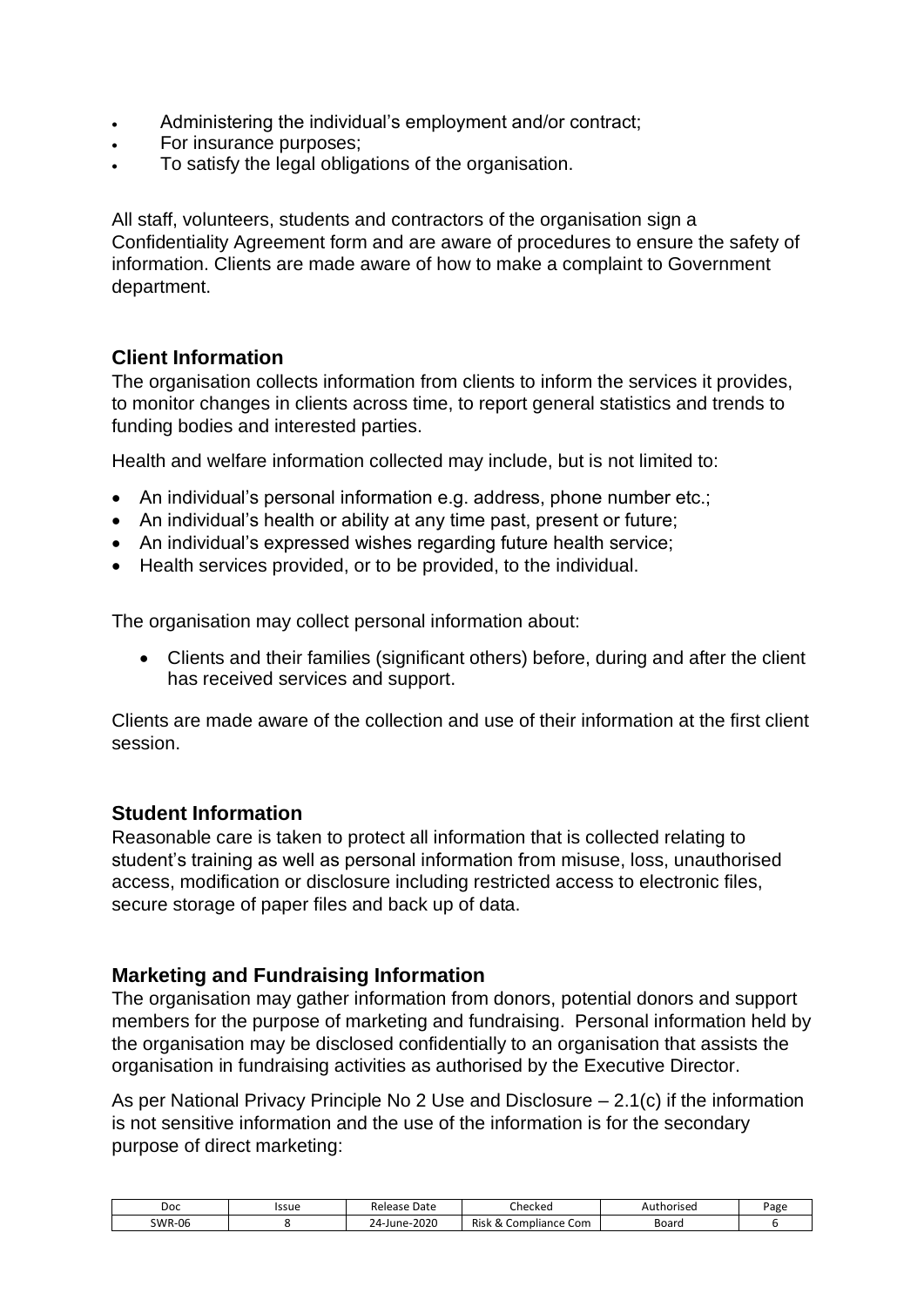- Administering the individual's employment and/or contract;
- For insurance purposes:
- To satisfy the legal obligations of the organisation.

All staff, volunteers, students and contractors of the organisation sign a [Confidentiality Agreement](file:///J:/QM/Master%20Forms/Human%20Resources/HR-003%203b%20Confidentiality%20Statement%20of%20Obligations%20Queensland.doc) form and are aware of procedures to ensure the safety of information. Clients are made aware of how to make a complaint to Government department.

#### <span id="page-5-0"></span>**Client Information**

The organisation collects information from clients to inform the services it provides, to monitor changes in clients across time, to report general statistics and trends to funding bodies and interested parties.

Health and welfare information collected may include, but is not limited to:

- An individual's personal information e.g. address, phone number etc.;
- An individual's health or ability at any time past, present or future;
- An individual's expressed wishes regarding future health service;
- Health services provided, or to be provided, to the individual.

The organisation may collect personal information about:

• Clients and their families (significant others) before, during and after the client has received services and support.

Clients are made aware of the collection and use of their information at the first client session.

#### <span id="page-5-1"></span>**Student Information**

Reasonable care is taken to protect all information that is collected relating to student's training as well as personal information from misuse, loss, unauthorised access, modification or disclosure including restricted access to electronic files, secure storage of paper files and back up of data.

#### <span id="page-5-2"></span>**Marketing and Fundraising Information**

The organisation may gather information from donors, potential donors and support members for the purpose of marketing and fundraising. Personal information held by the organisation may be disclosed confidentially to an organisation that assists the organisation in fundraising activities as authorised by the Executive Director.

As per National Privacy Principle No 2 Use and Disclosure – 2.1(c) if the information is not sensitive information and the use of the information is for the secondary purpose of direct marketing:

| Doc           | lssue | Date<br><b>מ ס בי ב</b><br>Release      | Checked                                          | Authorised | Page |
|---------------|-------|-----------------------------------------|--------------------------------------------------|------------|------|
| <b>SWR-06</b> |       | 2020<br>$24$ -June- $\overline{ }$<br>- | Risk<br>Compliance Com<br>$\scriptstyle{\alpha}$ | Board      |      |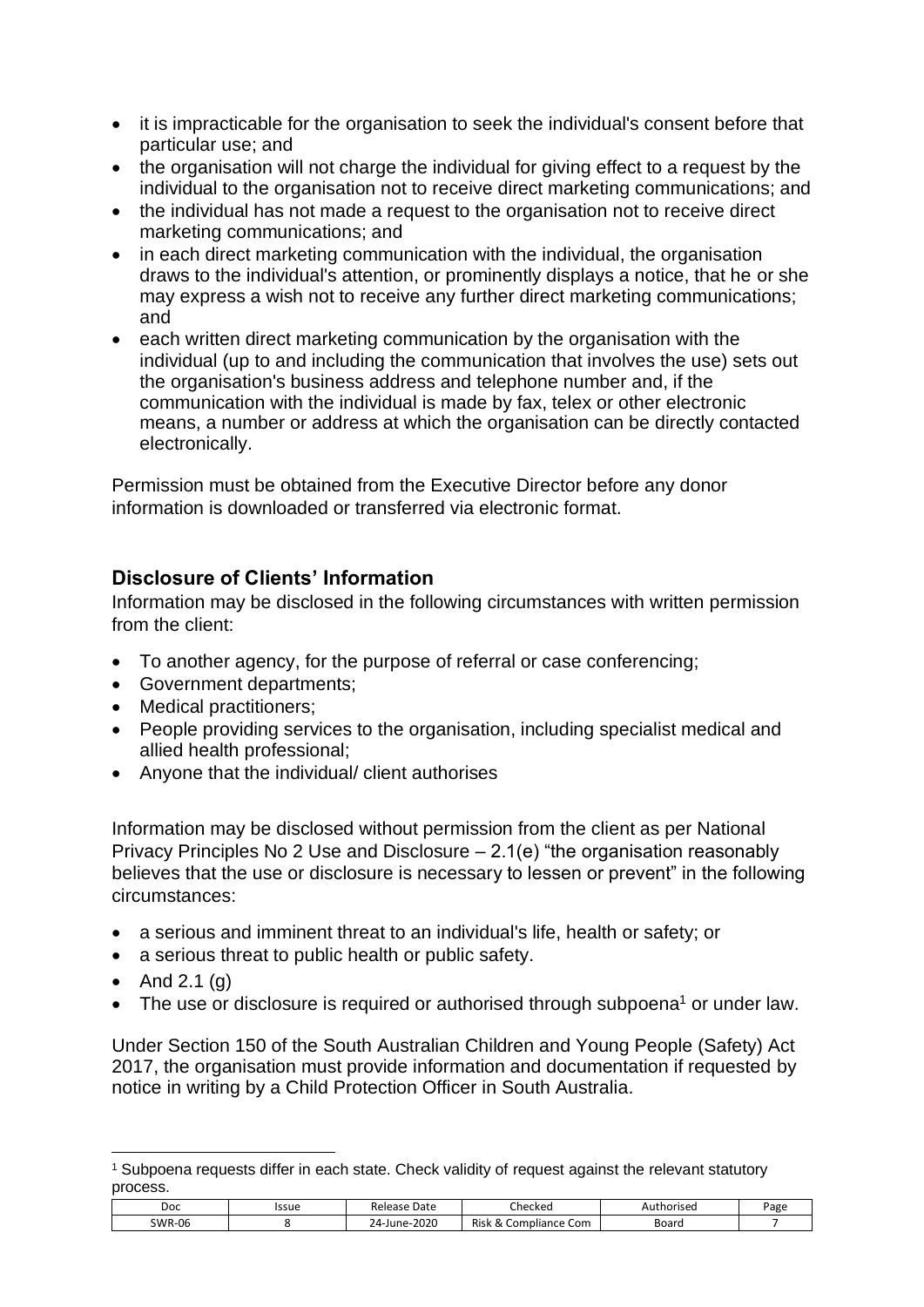- it is impracticable for the organisation to seek the individual's consent before that particular use; and
- the organisation will not charge the individual for giving effect to a request by the individual to the organisation not to receive direct marketing communications; and
- the individual has not made a request to the organisation not to receive direct marketing communications; and
- in each direct marketing communication with the individual, the organisation draws to the individual's attention, or prominently displays a notice, that he or she may express a wish not to receive any further direct marketing communications; and
- each written direct marketing communication by the organisation with the individual (up to and including the communication that involves the use) sets out the organisation's business address and telephone number and, if the communication with the individual is made by fax, telex or other electronic means, a number or address at which the organisation can be directly contacted electronically.

Permission must be obtained from the Executive Director before any donor information is downloaded or transferred via electronic format.

#### <span id="page-6-0"></span>**Disclosure of Clients' Information**

Information may be disclosed in the following circumstances with written permission from the client:

- To another agency, for the purpose of referral or case conferencing;
- Government departments;
- Medical practitioners;
- People providing services to the organisation, including specialist medical and allied health professional;
- Anyone that the individual/ client authorises

Information may be disclosed without permission from the client as per National Privacy Principles No 2 Use and Disclosure – 2.1(e) "the organisation reasonably believes that the use or disclosure is necessary to lessen or prevent" in the following circumstances:

- a serious and imminent threat to an individual's life, health or safety; or
- a serious threat to public health or public safety.
- And  $2.1$  (g)
- The use or disclosure is required or authorised through subpoena<sup>1</sup> or under law.

Under Section 150 of the South Australian Children and Young People (Safety) Act 2017, the organisation must provide information and documentation if requested by notice in writing by a Child Protection Officer in South Australia.

<sup>1</sup> Subpoena requests differ in each state. Check validity of request against the relevant statutory process.

| Doc           | Issue | Date<br>Release            | - '<br>Checked                            | Authorised | <sup>o</sup> age |
|---------------|-------|----------------------------|-------------------------------------------|------------|------------------|
| <b>SWR-06</b> |       | $-2020$<br>$24 -$<br>June- | <b>Risk</b><br>npliance Com<br>. com<br>∼ | Board      |                  |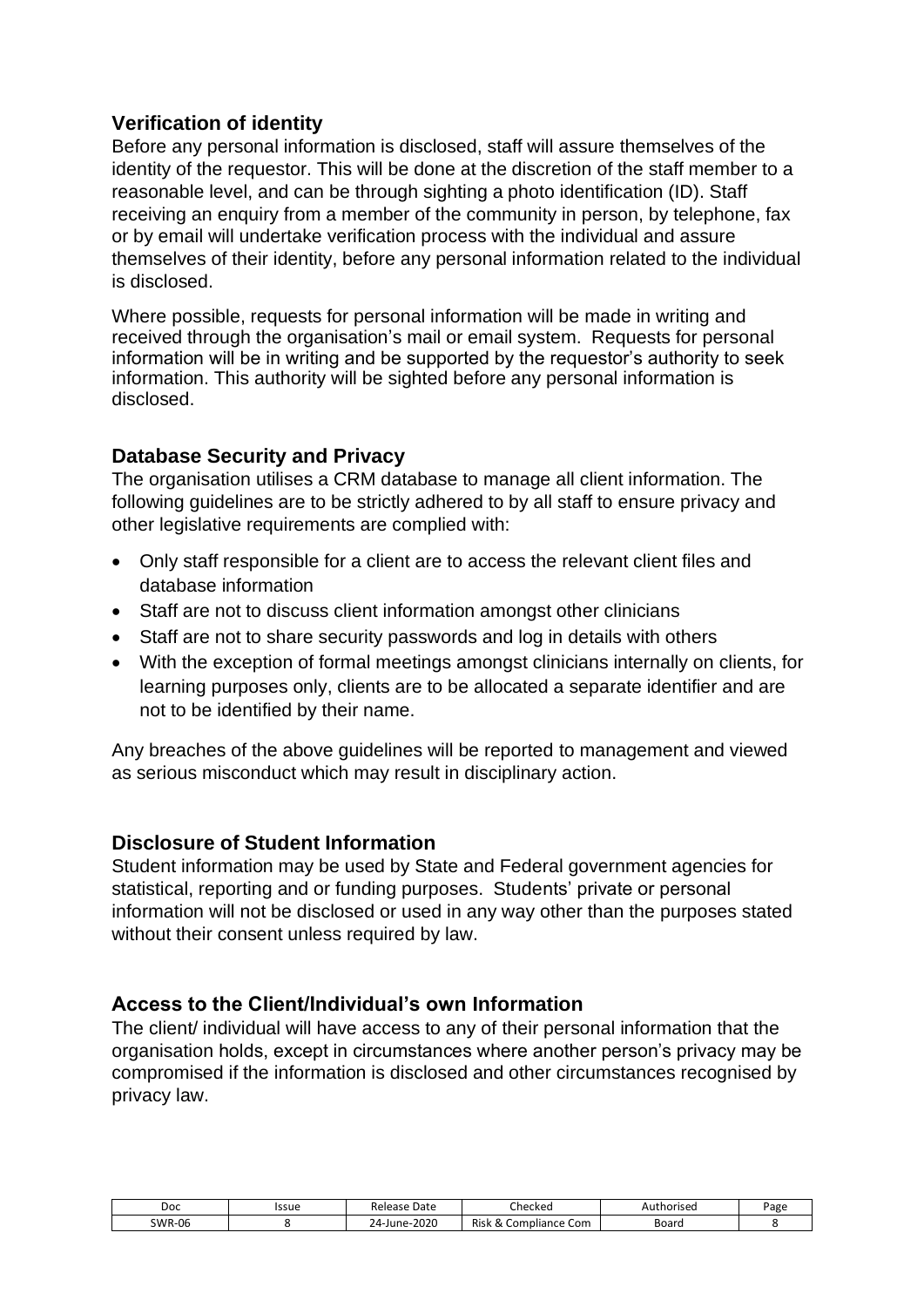#### <span id="page-7-0"></span>**Verification of identity**

Before any personal information is disclosed, staff will assure themselves of the identity of the requestor. This will be done at the discretion of the staff member to a reasonable level, and can be through sighting a photo identification (ID). Staff receiving an enquiry from a member of the community in person, by telephone, fax or by email will undertake verification process with the individual and assure themselves of their identity, before any personal information related to the individual is disclosed.

Where possible, requests for personal information will be made in writing and received through the organisation's mail or email system. Requests for personal information will be in writing and be supported by the requestor's authority to seek information. This authority will be sighted before any personal information is disclosed.

#### <span id="page-7-1"></span>**Database Security and Privacy**

The organisation utilises a CRM database to manage all client information. The following guidelines are to be strictly adhered to by all staff to ensure privacy and other legislative requirements are complied with:

- Only staff responsible for a client are to access the relevant client files and database information
- Staff are not to discuss client information amongst other clinicians
- Staff are not to share security passwords and log in details with others
- With the exception of formal meetings amongst clinicians internally on clients, for learning purposes only, clients are to be allocated a separate identifier and are not to be identified by their name.

Any breaches of the above guidelines will be reported to management and viewed as serious misconduct which may result in disciplinary action.

#### <span id="page-7-2"></span>**Disclosure of Student Information**

Student information may be used by State and Federal government agencies for statistical, reporting and or funding purposes. Students' private or personal information will not be disclosed or used in any way other than the purposes stated without their consent unless required by law.

#### <span id="page-7-3"></span>**Access to the Client/Individual's own Information**

The client/ individual will have access to any of their personal information that the organisation holds, except in circumstances where another person's privacy may be compromised if the information is disclosed and other circumstances recognised by privacy law.

| Doc           | Issue | Date<br>Release             | A,<br>Checked                                                            | Authorised | Page |
|---------------|-------|-----------------------------|--------------------------------------------------------------------------|------------|------|
| <b>SWR-06</b> |       | $-2020$<br>$24-$<br>·June-` | <b>Risk</b><br>$\sim$<br>npliance Com<br>. Com<br>$\scriptstyle{\alpha}$ | Board      |      |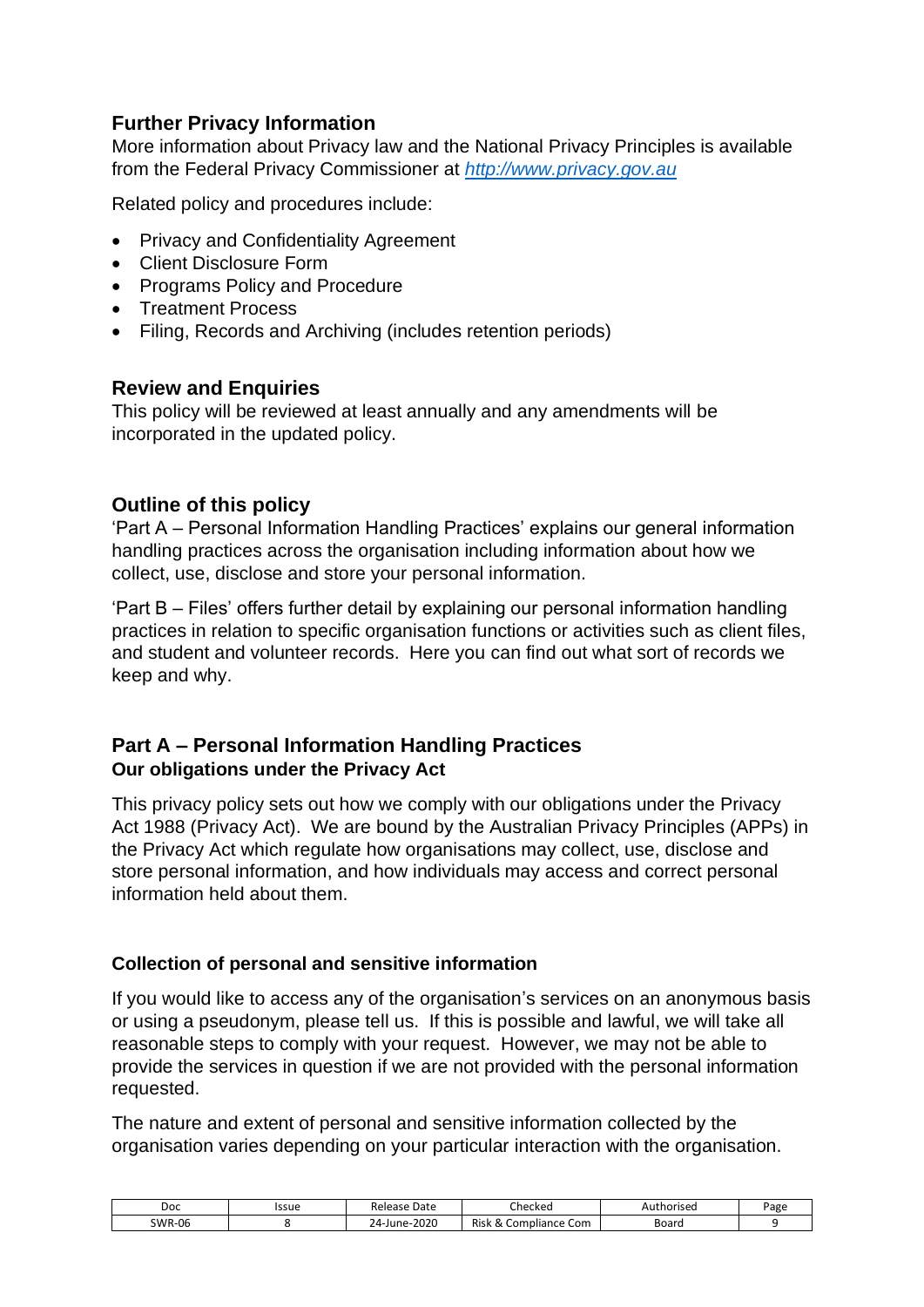#### <span id="page-8-0"></span>**Further Privacy Information**

More information about Privacy law and the National Privacy Principles is available from the Federal Privacy Commissioner at *[http://www.privacy.gov.au](http://www.privacy.gov.au/)*

Related policy and procedures include:

- Privacy and Confidentiality Agreement
- Client Disclosure Form
- Programs Policy and Procedure
- Treatment Process
- Filing, Records and Archiving (includes retention periods)

#### <span id="page-8-1"></span>**Review and Enquiries**

This policy will be reviewed at least annually and any amendments will be incorporated in the updated policy.

#### <span id="page-8-2"></span>**Outline of this policy**

'Part A – Personal Information Handling Practices' explains our general information handling practices across the organisation including information about how we collect, use, disclose and store your personal information.

'Part B – Files' offers further detail by explaining our personal information handling practices in relation to specific organisation functions or activities such as client files, and student and volunteer records. Here you can find out what sort of records we keep and why.

#### <span id="page-8-3"></span>**Part A – Personal Information Handling Practices Our obligations under the Privacy Act**

This privacy policy sets out how we comply with our obligations under the Privacy Act 1988 (Privacy Act). We are bound by the Australian Privacy Principles (APPs) in the Privacy Act which regulate how organisations may collect, use, disclose and store personal information, and how individuals may access and correct personal information held about them.

#### **Collection of personal and sensitive information**

If you would like to access any of the organisation's services on an anonymous basis or using a pseudonym, please tell us. If this is possible and lawful, we will take all reasonable steps to comply with your request. However, we may not be able to provide the services in question if we are not provided with the personal information requested.

The nature and extent of personal and sensitive information collected by the organisation varies depending on your particular interaction with the organisation.

| Doc           | Issue | Date<br>Release          | -<br>Checked                                                                             | thorised:<br>Au. | Page |
|---------------|-------|--------------------------|------------------------------------------------------------------------------------------|------------------|------|
| <b>SWR-06</b> |       | 2020<br>$74-$<br>-June-: | <b>Risk</b><br>-<br>npliance Com<br>$\mathsf{Com}$<br>$\sim$<br>$\overline{\phantom{a}}$ | Board            |      |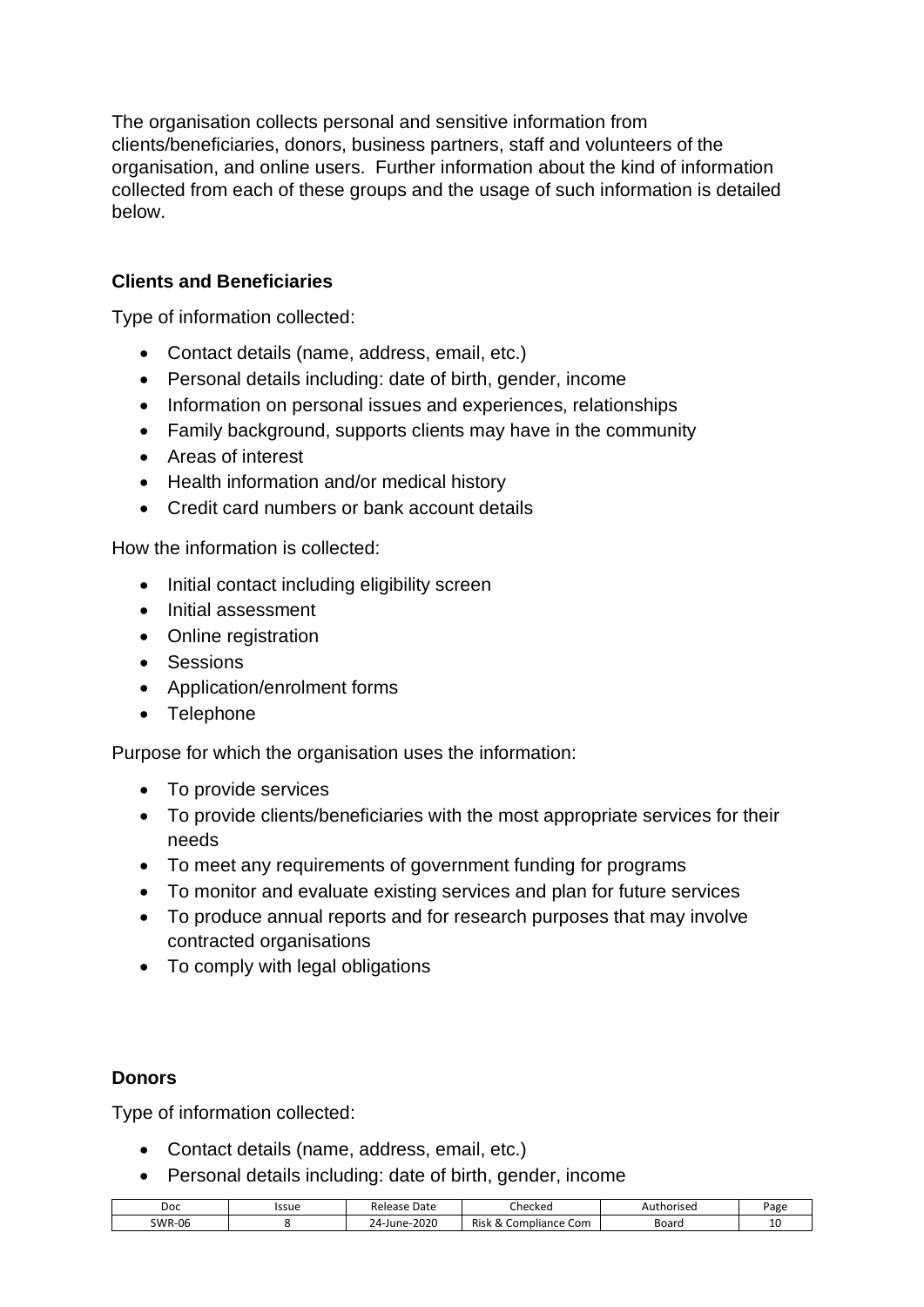The organisation collects personal and sensitive information from clients/beneficiaries, donors, business partners, staff and volunteers of the organisation, and online users. Further information about the kind of information collected from each of these groups and the usage of such information is detailed below.

#### **Clients and Beneficiaries**

Type of information collected:

- Contact details (name, address, email, etc.)
- Personal details including: date of birth, gender, income
- Information on personal issues and experiences, relationships
- Family background, supports clients may have in the community
- Areas of interest
- Health information and/or medical history
- Credit card numbers or bank account details

How the information is collected:

- Initial contact including eligibility screen
- Initial assessment
- Online registration
- Sessions
- Application/enrolment forms
- Telephone

Purpose for which the organisation uses the information:

- To provide services
- To provide clients/beneficiaries with the most appropriate services for their needs
- To meet any requirements of government funding for programs
- To monitor and evaluate existing services and plan for future services
- To produce annual reports and for research purposes that may involve contracted organisations
- To comply with legal obligations

#### **Donors**

Type of information collected:

- Contact details (name, address, email, etc.)
- Personal details including: date of birth, gender, income

| Doc           | Issue | Date<br>Release                       | A,<br>Checkec                                           | *horised<br>Aut | Page |
|---------------|-------|---------------------------------------|---------------------------------------------------------|-----------------|------|
| <b>SWR-06</b> |       | $-2020$<br>$24$ -June- $\overline{ }$ | <b>Risk</b><br>Compliance Com<br>$\scriptstyle{\alpha}$ | Boarc           | -    |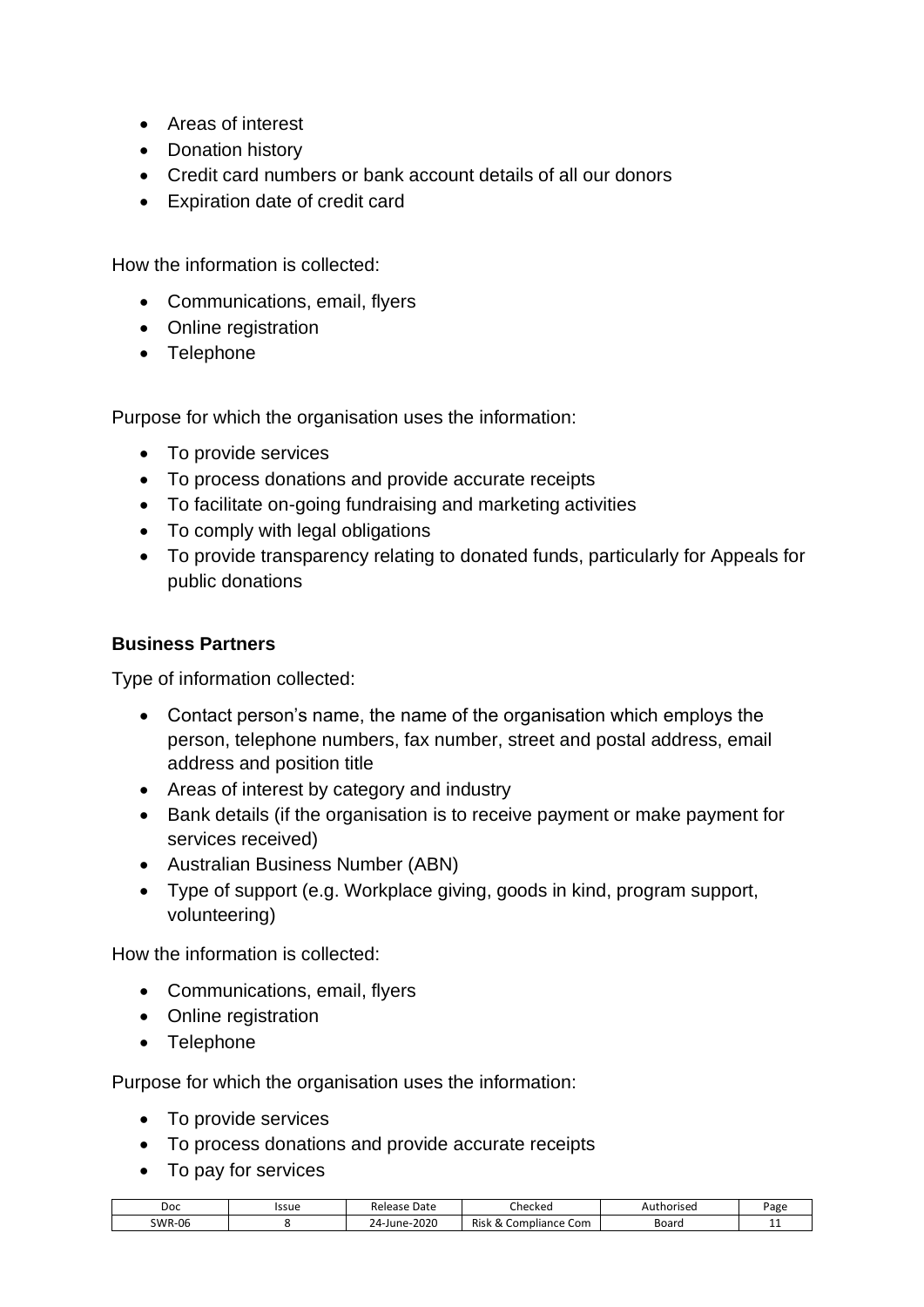- Areas of interest
- Donation history
- Credit card numbers or bank account details of all our donors
- Expiration date of credit card

How the information is collected:

- Communications, email, flyers
- Online registration
- Telephone

Purpose for which the organisation uses the information:

- To provide services
- To process donations and provide accurate receipts
- To facilitate on-going fundraising and marketing activities
- To comply with legal obligations
- To provide transparency relating to donated funds, particularly for Appeals for public donations

#### **Business Partners**

Type of information collected:

- Contact person's name, the name of the organisation which employs the person, telephone numbers, fax number, street and postal address, email address and position title
- Areas of interest by category and industry
- Bank details (if the organisation is to receive payment or make payment for services received)
- Australian Business Number (ABN)
- Type of support (e.g. Workplace giving, goods in kind, program support, volunteering)

How the information is collected:

- Communications, email, flyers
- Online registration
- Telephone

Purpose for which the organisation uses the information:

- To provide services
- To process donations and provide accurate receipts
- To pay for services

| Doc    | Issue | Date<br>кею<br>-935                | :heckec                                             | haricad <sup>.</sup><br>чu.<br>15 C.U | -<br>∍age |
|--------|-------|------------------------------------|-----------------------------------------------------|---------------------------------------|-----------|
| SWR-06 |       | $-2020$<br>⊡n≙<br>'/l_<br><u>~</u> | $\sim$<br><b>Risk</b><br>Com ا<br>Compliance :<br>∾ | Board                                 | --        |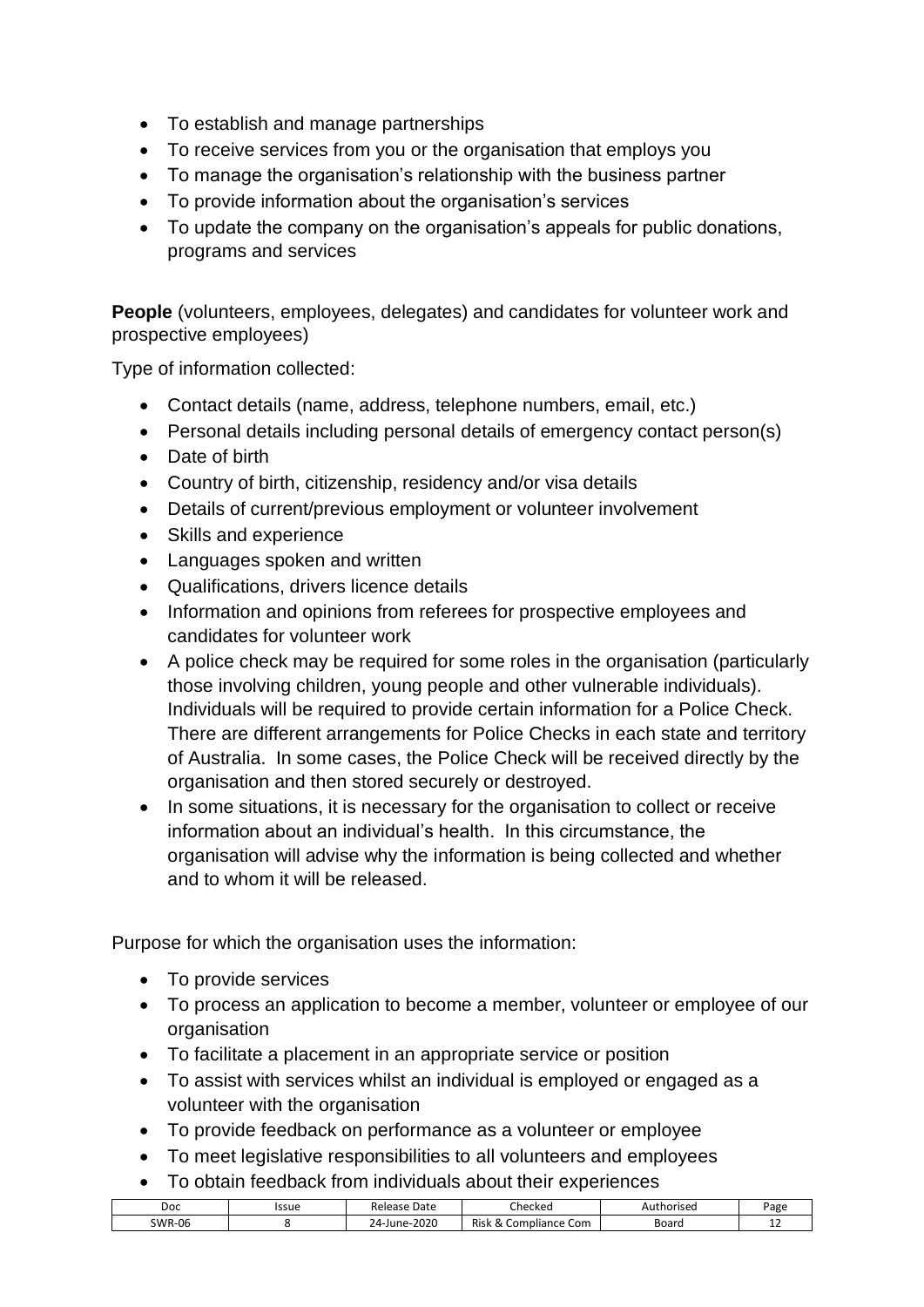- To establish and manage partnerships
- To receive services from you or the organisation that employs you
- To manage the organisation's relationship with the business partner
- To provide information about the organisation's services
- To update the company on the organisation's appeals for public donations, programs and services

**People** (volunteers, employees, delegates) and candidates for volunteer work and prospective employees)

Type of information collected:

- Contact details (name, address, telephone numbers, email, etc.)
- Personal details including personal details of emergency contact person(s)
- Date of birth
- Country of birth, citizenship, residency and/or visa details
- Details of current/previous employment or volunteer involvement
- Skills and experience
- Languages spoken and written
- Qualifications, drivers licence details
- Information and opinions from referees for prospective employees and candidates for volunteer work
- A police check may be required for some roles in the organisation (particularly those involving children, young people and other vulnerable individuals). Individuals will be required to provide certain information for a Police Check. There are different arrangements for Police Checks in each state and territory of Australia. In some cases, the Police Check will be received directly by the organisation and then stored securely or destroyed.
- In some situations, it is necessary for the organisation to collect or receive information about an individual's health. In this circumstance, the organisation will advise why the information is being collected and whether and to whom it will be released.

Purpose for which the organisation uses the information:

- To provide services
- To process an application to become a member, volunteer or employee of our organisation
- To facilitate a placement in an appropriate service or position
- To assist with services whilst an individual is employed or engaged as a volunteer with the organisation
- To provide feedback on performance as a volunteer or employee
- To meet legislative responsibilities to all volunteers and employees
- To obtain feedback from individuals about their experiences

| Doc           | Issue | Date<br>Release   | :hecked                                                          | horised | Page    |
|---------------|-------|-------------------|------------------------------------------------------------------|---------|---------|
| <b>SWR-06</b> |       | 2020<br>24-June-2 | Risk<br>റ<br>. Com<br>comr<br>mpliance<br>$\scriptstyle{\alpha}$ | Board   | <b></b> |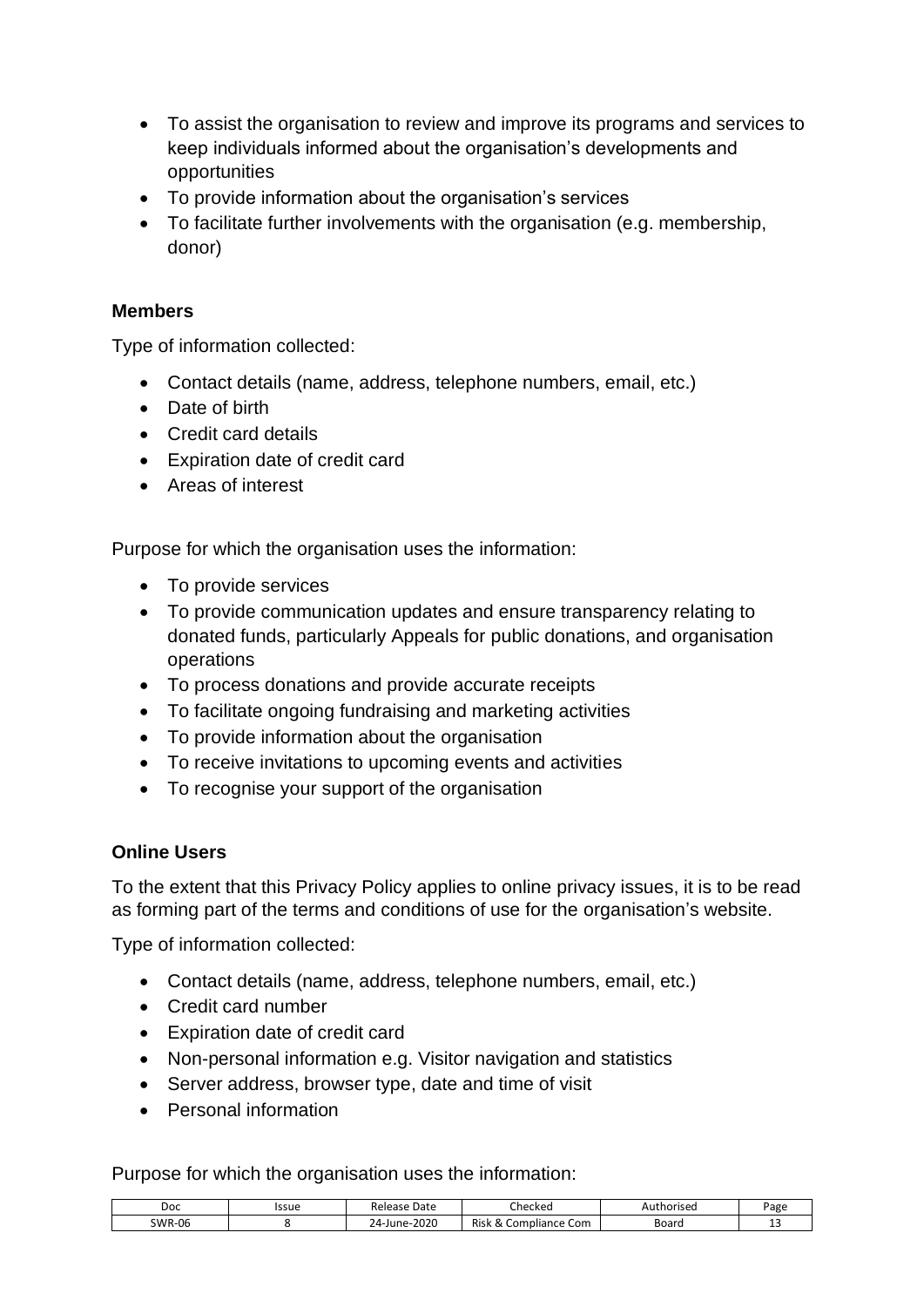- To assist the organisation to review and improve its programs and services to keep individuals informed about the organisation's developments and opportunities
- To provide information about the organisation's services
- To facilitate further involvements with the organisation (e.g. membership, donor)

#### **Members**

Type of information collected:

- Contact details (name, address, telephone numbers, email, etc.)
- Date of birth
- Credit card details
- Expiration date of credit card
- Areas of interest

Purpose for which the organisation uses the information:

- To provide services
- To provide communication updates and ensure transparency relating to donated funds, particularly Appeals for public donations, and organisation operations
- To process donations and provide accurate receipts
- To facilitate ongoing fundraising and marketing activities
- To provide information about the organisation
- To receive invitations to upcoming events and activities
- To recognise your support of the organisation

#### **Online Users**

To the extent that this Privacy Policy applies to online privacy issues, it is to be read as forming part of the terms and conditions of use for the organisation's website.

Type of information collected:

- Contact details (name, address, telephone numbers, email, etc.)
- Credit card number
- Expiration date of credit card
- Non-personal information e.g. Visitor navigation and statistics
- Server address, browser type, date and time of visit
- Personal information

Purpose for which the organisation uses the information:

| Doc           | Issue | Date<br>Release        | Checked                                    | thoriseo<br>¬u≀ | Page |
|---------------|-------|------------------------|--------------------------------------------|-----------------|------|
| <b>SWR-06</b> |       | 2020<br>$24-$<br>June- | Risk<br>-<br>mpliance Com<br>.0r<br>$\sim$ | Board           | --   |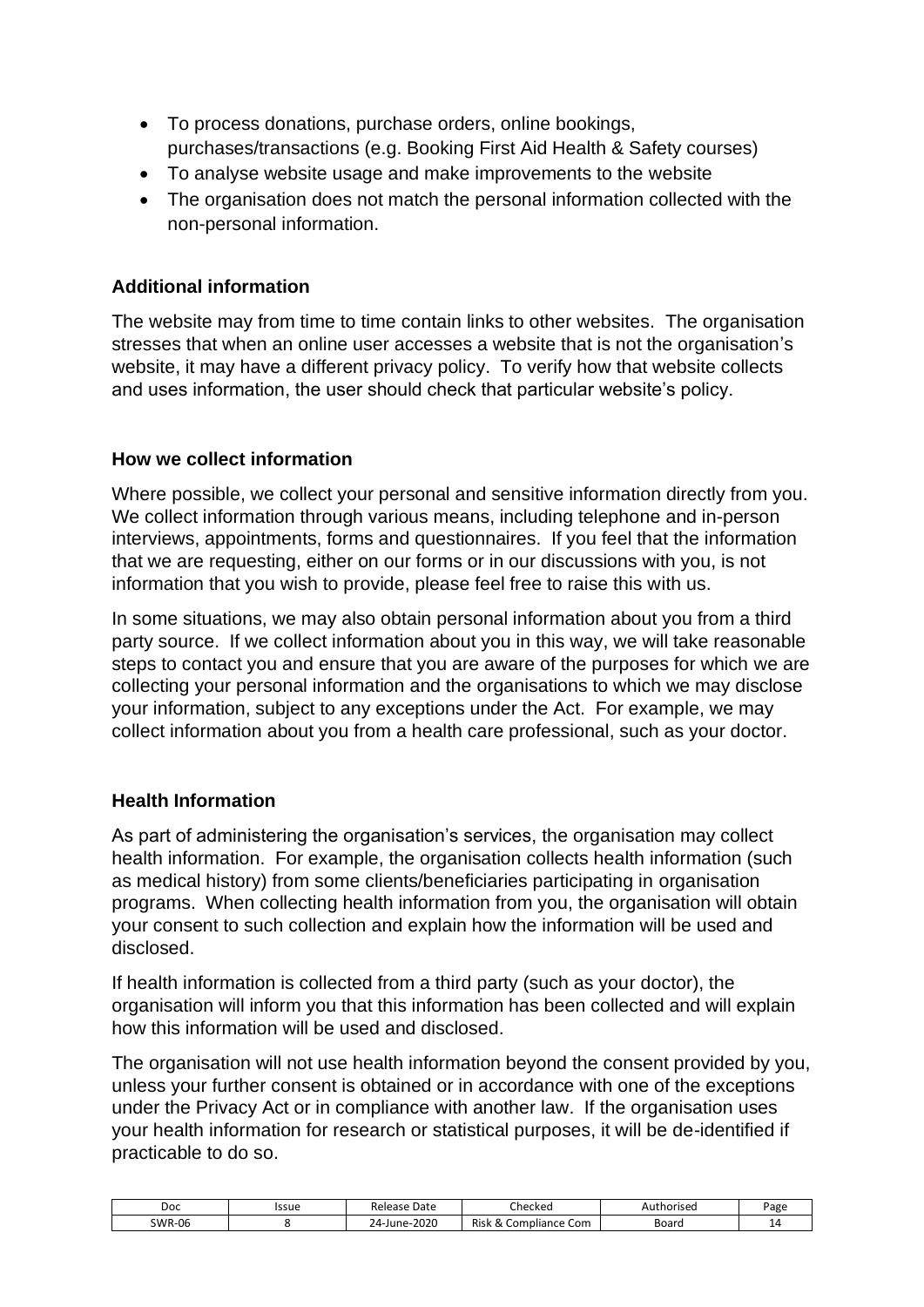- To process donations, purchase orders, online bookings, purchases/transactions (e.g. Booking First Aid Health & Safety courses)
- To analyse website usage and make improvements to the website
- The organisation does not match the personal information collected with the non-personal information.

#### **Additional information**

The website may from time to time contain links to other websites. The organisation stresses that when an online user accesses a website that is not the organisation's website, it may have a different privacy policy. To verify how that website collects and uses information, the user should check that particular website's policy.

#### **How we collect information**

Where possible, we collect your personal and sensitive information directly from you. We collect information through various means, including telephone and in-person interviews, appointments, forms and questionnaires. If you feel that the information that we are requesting, either on our forms or in our discussions with you, is not information that you wish to provide, please feel free to raise this with us.

In some situations, we may also obtain personal information about you from a third party source. If we collect information about you in this way, we will take reasonable steps to contact you and ensure that you are aware of the purposes for which we are collecting your personal information and the organisations to which we may disclose your information, subject to any exceptions under the Act. For example, we may collect information about you from a health care professional, such as your doctor.

#### **Health Information**

As part of administering the organisation's services, the organisation may collect health information. For example, the organisation collects health information (such as medical history) from some clients/beneficiaries participating in organisation programs. When collecting health information from you, the organisation will obtain your consent to such collection and explain how the information will be used and disclosed.

If health information is collected from a third party (such as your doctor), the organisation will inform you that this information has been collected and will explain how this information will be used and disclosed.

The organisation will not use health information beyond the consent provided by you, unless your further consent is obtained or in accordance with one of the exceptions under the Privacy Act or in compliance with another law. If the organisation uses your health information for research or statistical purposes, it will be de-identified if practicable to do so.

| Doc           | Issue | Date<br>Release   | Checked                          | thorised<br>⊣u | Page |
|---------------|-------|-------------------|----------------------------------|----------------|------|
| <b>SWR-06</b> |       | 2020<br>24-June-. | Risk<br>Compliance Com<br>$\sim$ | Board          | -    |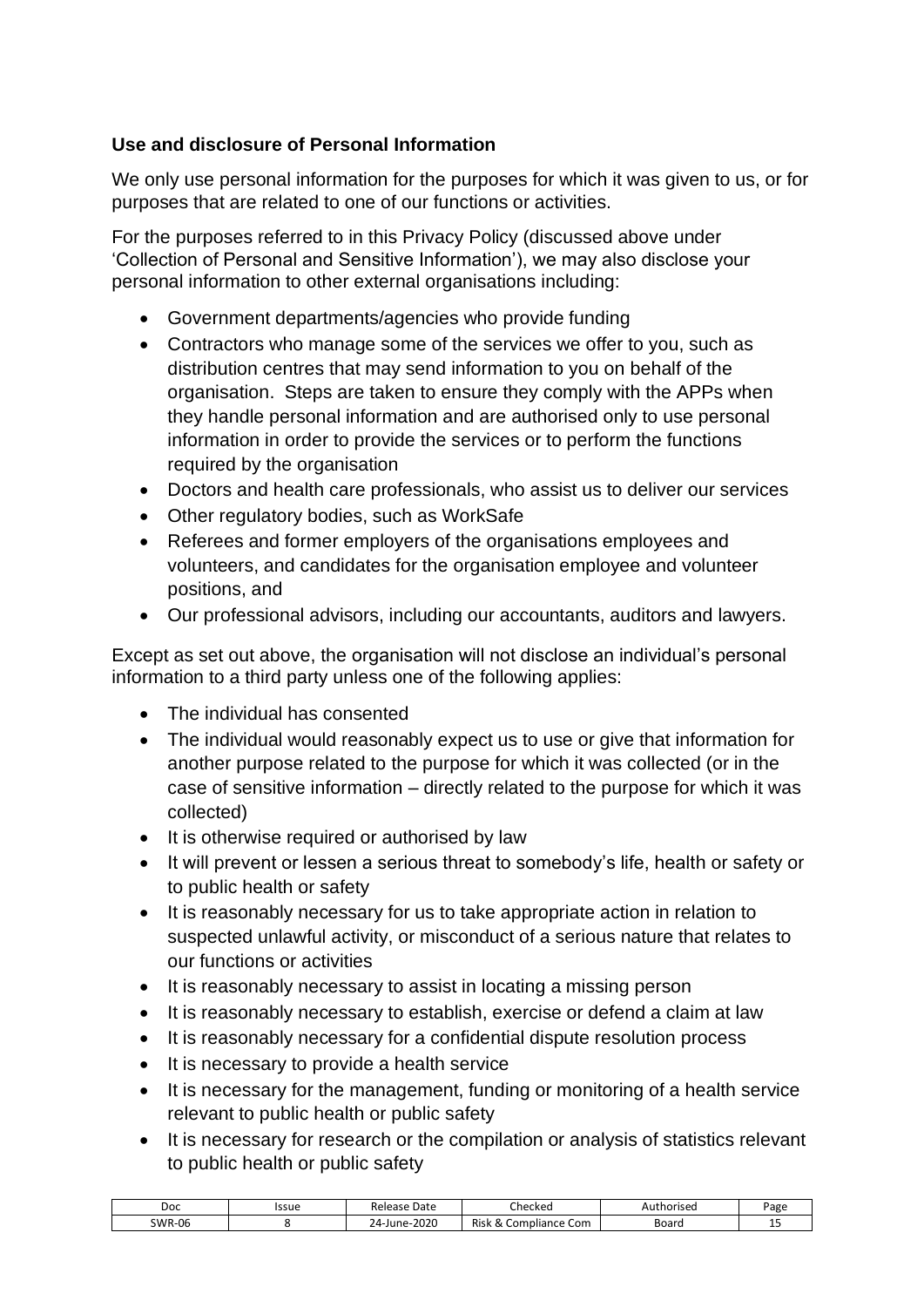#### **Use and disclosure of Personal Information**

We only use personal information for the purposes for which it was given to us, or for purposes that are related to one of our functions or activities.

For the purposes referred to in this Privacy Policy (discussed above under 'Collection of Personal and Sensitive Information'), we may also disclose your personal information to other external organisations including:

- Government departments/agencies who provide funding
- Contractors who manage some of the services we offer to you, such as distribution centres that may send information to you on behalf of the organisation. Steps are taken to ensure they comply with the APPs when they handle personal information and are authorised only to use personal information in order to provide the services or to perform the functions required by the organisation
- Doctors and health care professionals, who assist us to deliver our services
- Other regulatory bodies, such as WorkSafe
- Referees and former employers of the organisations employees and volunteers, and candidates for the organisation employee and volunteer positions, and
- Our professional advisors, including our accountants, auditors and lawyers.

Except as set out above, the organisation will not disclose an individual's personal information to a third party unless one of the following applies:

- The individual has consented
- The individual would reasonably expect us to use or give that information for another purpose related to the purpose for which it was collected (or in the case of sensitive information – directly related to the purpose for which it was collected)
- It is otherwise required or authorised by law
- It will prevent or lessen a serious threat to somebody's life, health or safety or to public health or safety
- It is reasonably necessary for us to take appropriate action in relation to suspected unlawful activity, or misconduct of a serious nature that relates to our functions or activities
- It is reasonably necessary to assist in locating a missing person
- It is reasonably necessary to establish, exercise or defend a claim at law
- It is reasonably necessary for a confidential dispute resolution process
- It is necessary to provide a health service
- It is necessary for the management, funding or monitoring of a health service relevant to public health or public safety
- It is necessary for research or the compilation or analysis of statistics relevant to public health or public safety

| Doc           | Issue | Date<br>Release   | Jhecked                               | horised<br>Aut | Page |
|---------------|-------|-------------------|---------------------------------------|----------------|------|
| <b>SWR-06</b> |       | 2020<br>24-June-1 | 0<br>Risk<br>mpliance Com<br>−om<br>∼ | Boarc          | --   |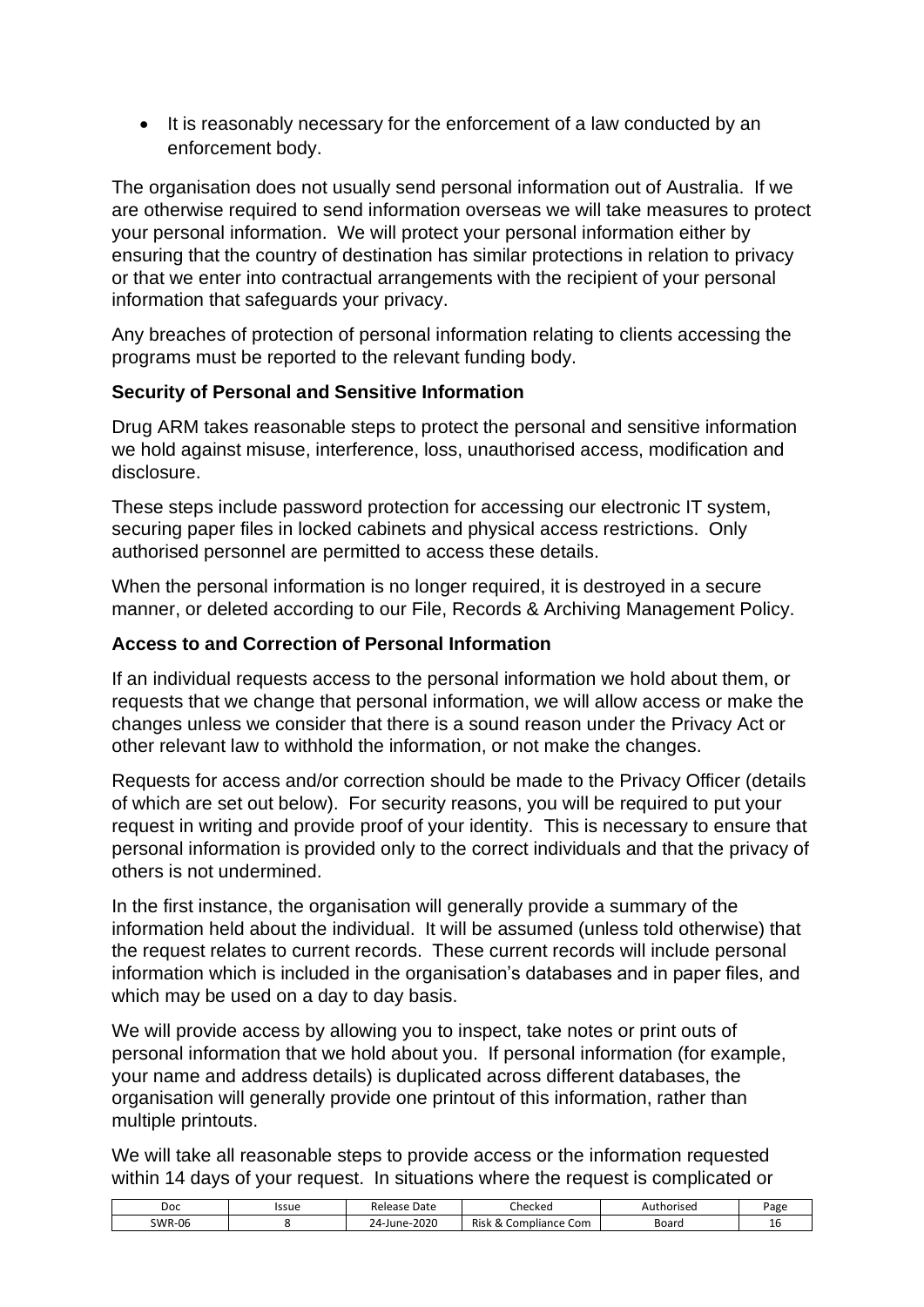• It is reasonably necessary for the enforcement of a law conducted by an enforcement body.

The organisation does not usually send personal information out of Australia. If we are otherwise required to send information overseas we will take measures to protect your personal information. We will protect your personal information either by ensuring that the country of destination has similar protections in relation to privacy or that we enter into contractual arrangements with the recipient of your personal information that safeguards your privacy.

Any breaches of protection of personal information relating to clients accessing the programs must be reported to the relevant funding body.

#### **Security of Personal and Sensitive Information**

Drug ARM takes reasonable steps to protect the personal and sensitive information we hold against misuse, interference, loss, unauthorised access, modification and disclosure.

These steps include password protection for accessing our electronic IT system, securing paper files in locked cabinets and physical access restrictions. Only authorised personnel are permitted to access these details.

When the personal information is no longer required, it is destroyed in a secure manner, or deleted according to our File, Records & Archiving Management Policy.

#### **Access to and Correction of Personal Information**

If an individual requests access to the personal information we hold about them, or requests that we change that personal information, we will allow access or make the changes unless we consider that there is a sound reason under the Privacy Act or other relevant law to withhold the information, or not make the changes.

Requests for access and/or correction should be made to the Privacy Officer (details of which are set out below). For security reasons, you will be required to put your request in writing and provide proof of your identity. This is necessary to ensure that personal information is provided only to the correct individuals and that the privacy of others is not undermined.

In the first instance, the organisation will generally provide a summary of the information held about the individual. It will be assumed (unless told otherwise) that the request relates to current records. These current records will include personal information which is included in the organisation's databases and in paper files, and which may be used on a day to day basis.

We will provide access by allowing you to inspect, take notes or print outs of personal information that we hold about you. If personal information (for example, your name and address details) is duplicated across different databases, the organisation will generally provide one printout of this information, rather than multiple printouts.

We will take all reasonable steps to provide access or the information requested within 14 days of your request. In situations where the request is complicated or

| Doc           | Issue | Release<br>Date                       | Checked                                | uthorised<br>Au | Page |
|---------------|-------|---------------------------------------|----------------------------------------|-----------------|------|
| <b>SWR-06</b> |       | $-2020$<br>$24$ -June- $\overline{ }$ | Risk<br>C<br>npliance Com<br>Com<br>Ō. | Board           | ᅩ    |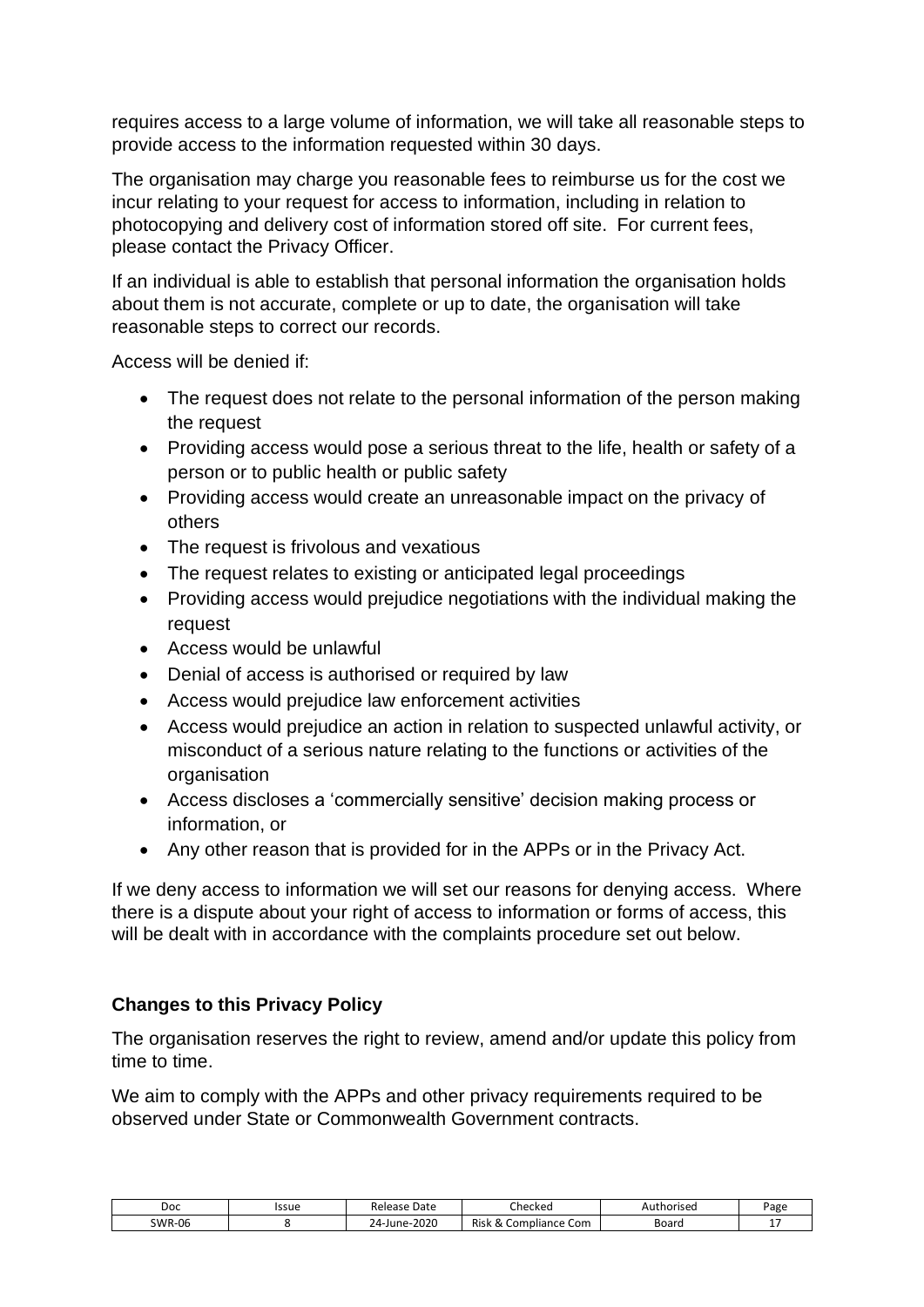requires access to a large volume of information, we will take all reasonable steps to provide access to the information requested within 30 days.

The organisation may charge you reasonable fees to reimburse us for the cost we incur relating to your request for access to information, including in relation to photocopying and delivery cost of information stored off site. For current fees, please contact the Privacy Officer.

If an individual is able to establish that personal information the organisation holds about them is not accurate, complete or up to date, the organisation will take reasonable steps to correct our records.

Access will be denied if:

- The request does not relate to the personal information of the person making the request
- Providing access would pose a serious threat to the life, health or safety of a person or to public health or public safety
- Providing access would create an unreasonable impact on the privacy of others
- The request is frivolous and vexatious
- The request relates to existing or anticipated legal proceedings
- Providing access would prejudice negotiations with the individual making the request
- Access would be unlawful
- Denial of access is authorised or required by law
- Access would prejudice law enforcement activities
- Access would prejudice an action in relation to suspected unlawful activity, or misconduct of a serious nature relating to the functions or activities of the organisation
- Access discloses a 'commercially sensitive' decision making process or information, or
- Any other reason that is provided for in the APPs or in the Privacy Act.

If we deny access to information we will set our reasons for denying access. Where there is a dispute about your right of access to information or forms of access, this will be dealt with in accordance with the complaints procedure set out below.

#### **Changes to this Privacy Policy**

The organisation reserves the right to review, amend and/or update this policy from time to time.

We aim to comply with the APPs and other privacy requirements required to be observed under State or Commonwealth Government contracts.

| Doc           | Issue | Date<br>Release                   | Checked                                               | *horisea<br>Au | Page |
|---------------|-------|-----------------------------------|-------------------------------------------------------|----------------|------|
| <b>SWR-06</b> |       | 2020<br>$\sim$ $\sim$<br>24-June- | Risk<br>. Com<br>npliance<br>$\sim$ LO <sup>mr1</sup> | Boarc          |      |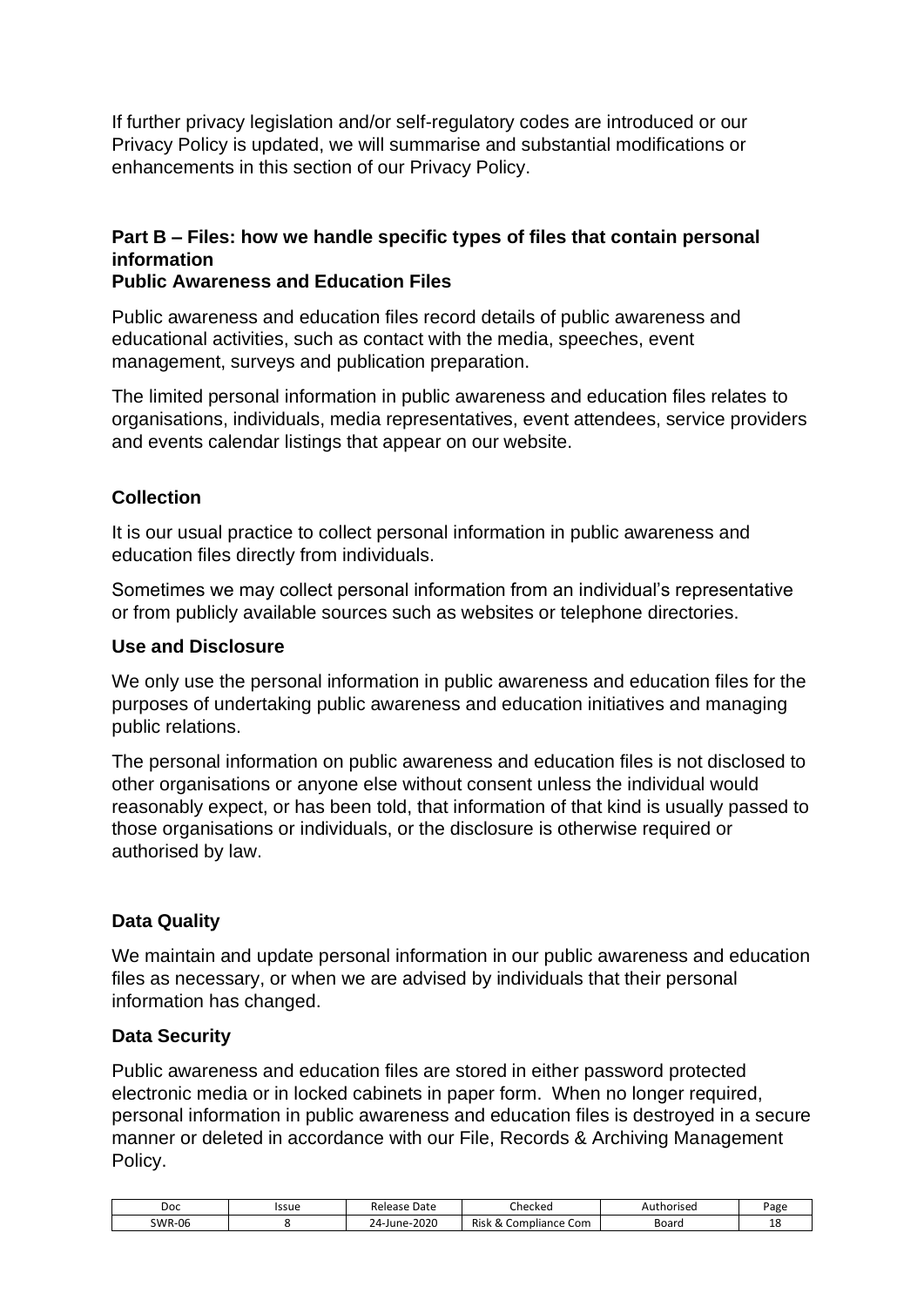If further privacy legislation and/or self-regulatory codes are introduced or our Privacy Policy is updated, we will summarise and substantial modifications or enhancements in this section of our Privacy Policy.

#### <span id="page-17-0"></span>**Part B – Files: how we handle specific types of files that contain personal information**

#### **Public Awareness and Education Files**

Public awareness and education files record details of public awareness and educational activities, such as contact with the media, speeches, event management, surveys and publication preparation.

The limited personal information in public awareness and education files relates to organisations, individuals, media representatives, event attendees, service providers and events calendar listings that appear on our website.

#### **Collection**

It is our usual practice to collect personal information in public awareness and education files directly from individuals.

Sometimes we may collect personal information from an individual's representative or from publicly available sources such as websites or telephone directories.

#### **Use and Disclosure**

We only use the personal information in public awareness and education files for the purposes of undertaking public awareness and education initiatives and managing public relations.

The personal information on public awareness and education files is not disclosed to other organisations or anyone else without consent unless the individual would reasonably expect, or has been told, that information of that kind is usually passed to those organisations or individuals, or the disclosure is otherwise required or authorised by law.

#### **Data Quality**

We maintain and update personal information in our public awareness and education files as necessary, or when we are advised by individuals that their personal information has changed.

#### **Data Security**

Public awareness and education files are stored in either password protected electronic media or in locked cabinets in paper form. When no longer required, personal information in public awareness and education files is destroyed in a secure manner or deleted in accordance with our File, Records & Archiving Management Policy.

| Doc           | Issue | Date<br>Release         | :hecked                                 | uthorised<br>Au | Page |
|---------------|-------|-------------------------|-----------------------------------------|-----------------|------|
| <b>SWR-06</b> |       | 2020<br>$24$ -June- $2$ | <b>Risk</b><br>: Com<br>Compliance<br>∼ | Board           | ᅩ    |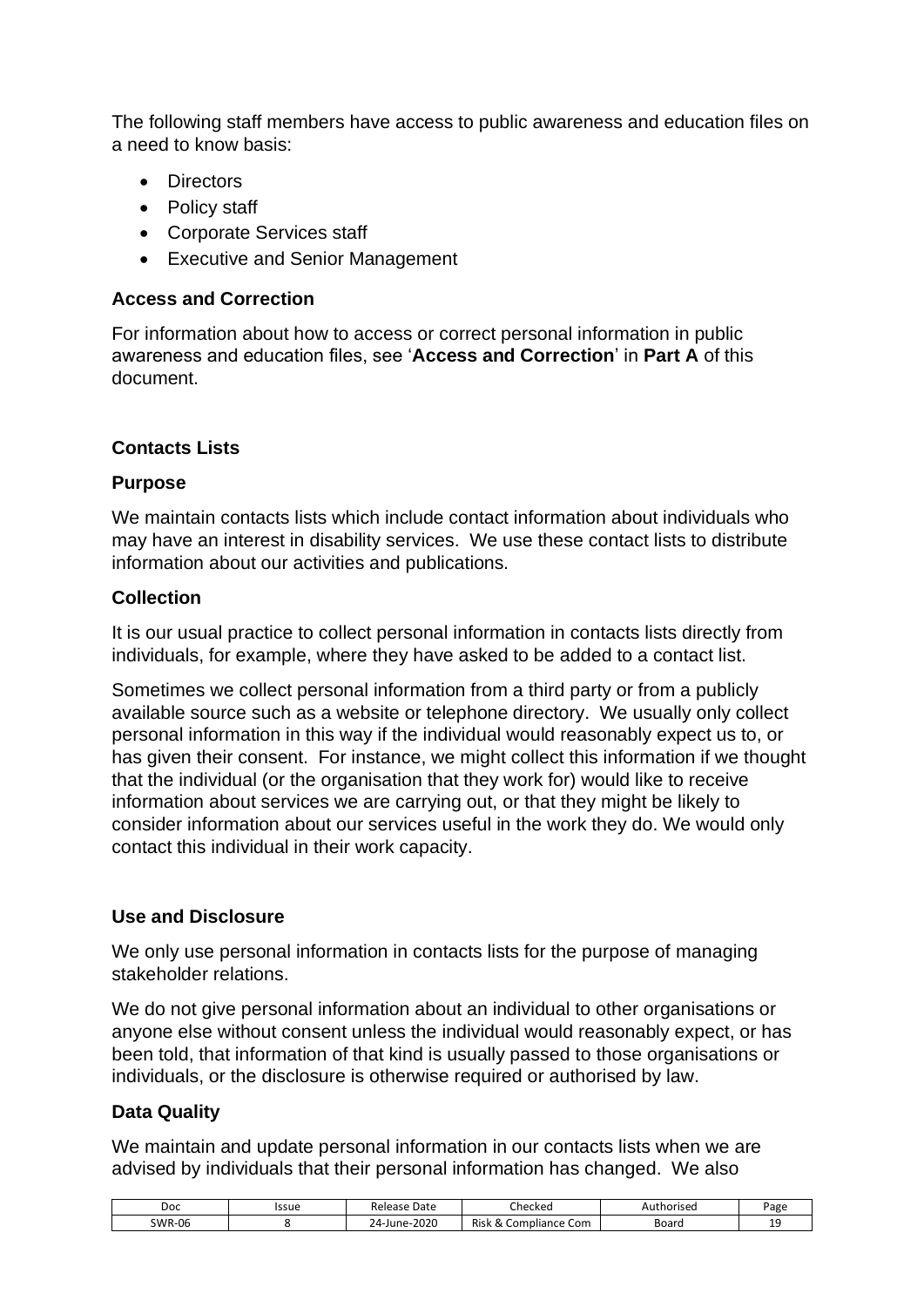The following staff members have access to public awareness and education files on a need to know basis:

- Directors
- Policy staff
- Corporate Services staff
- Executive and Senior Management

#### **Access and Correction**

For information about how to access or correct personal information in public awareness and education files, see '**Access and Correction**' in **Part A** of this document.

#### **Contacts Lists**

#### **Purpose**

We maintain contacts lists which include contact information about individuals who may have an interest in disability services. We use these contact lists to distribute information about our activities and publications.

#### **Collection**

It is our usual practice to collect personal information in contacts lists directly from individuals, for example, where they have asked to be added to a contact list.

Sometimes we collect personal information from a third party or from a publicly available source such as a website or telephone directory. We usually only collect personal information in this way if the individual would reasonably expect us to, or has given their consent. For instance, we might collect this information if we thought that the individual (or the organisation that they work for) would like to receive information about services we are carrying out, or that they might be likely to consider information about our services useful in the work they do. We would only contact this individual in their work capacity.

#### **Use and Disclosure**

We only use personal information in contacts lists for the purpose of managing stakeholder relations.

We do not give personal information about an individual to other organisations or anyone else without consent unless the individual would reasonably expect, or has been told, that information of that kind is usually passed to those organisations or individuals, or the disclosure is otherwise required or authorised by law.

#### **Data Quality**

We maintain and update personal information in our contacts lists when we are advised by individuals that their personal information has changed. We also

| Doc           | Issue | Date<br>Release  | hecked                                            | thorised<br>¬u≀ | Page |
|---------------|-------|------------------|---------------------------------------------------|-----------------|------|
| <b>SWR-06</b> |       | 2020<br>24-June- | Risk<br>mpliance Com<br>.0 <sup>m</sup><br>$\sim$ | Board           | --   |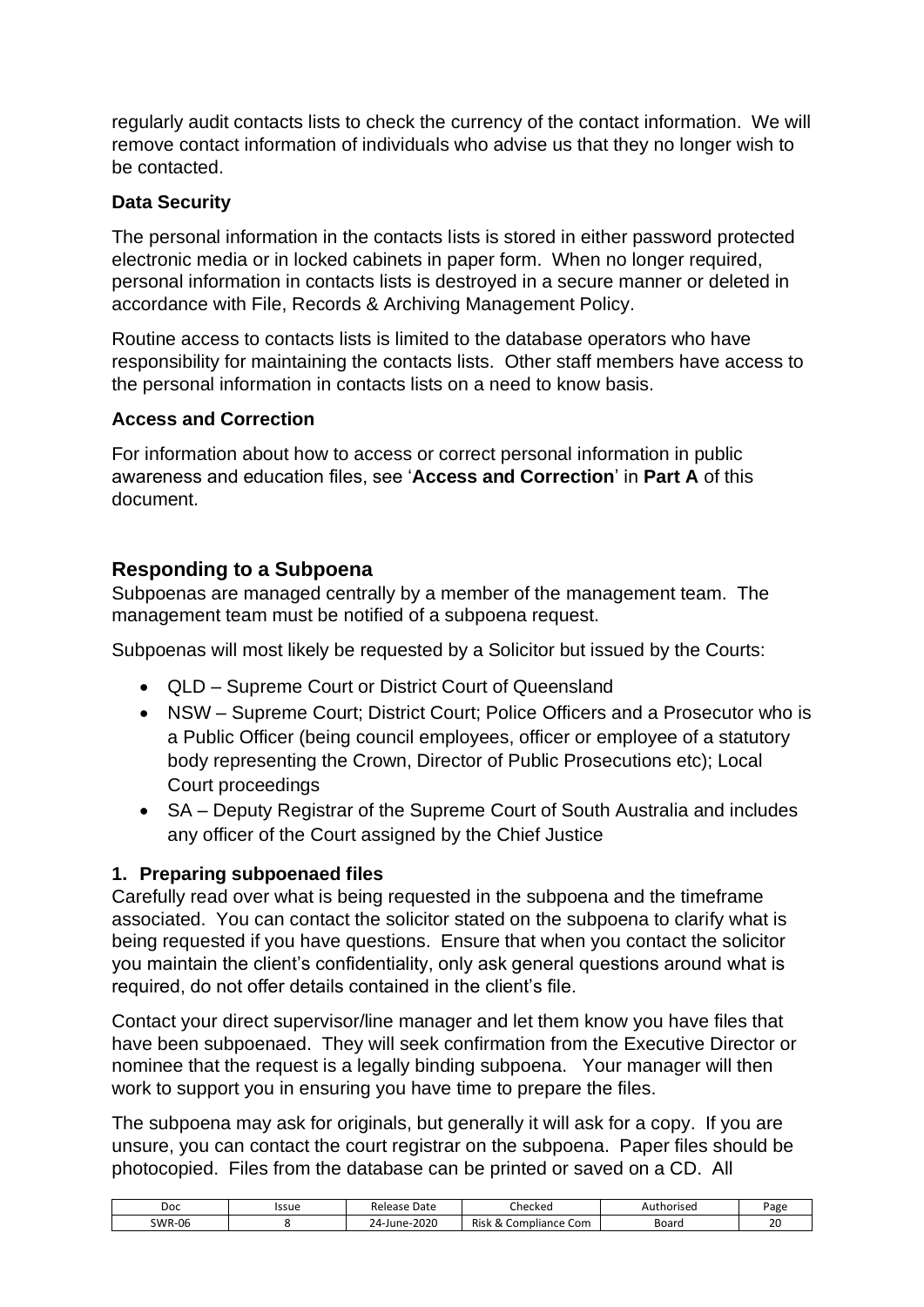regularly audit contacts lists to check the currency of the contact information. We will remove contact information of individuals who advise us that they no longer wish to be contacted.

#### **Data Security**

The personal information in the contacts lists is stored in either password protected electronic media or in locked cabinets in paper form. When no longer required, personal information in contacts lists is destroyed in a secure manner or deleted in accordance with File, Records & Archiving Management Policy.

Routine access to contacts lists is limited to the database operators who have responsibility for maintaining the contacts lists. Other staff members have access to the personal information in contacts lists on a need to know basis.

#### **Access and Correction**

For information about how to access or correct personal information in public awareness and education files, see '**Access and Correction**' in **Part A** of this document.

#### <span id="page-19-0"></span>**Responding to a Subpoena**

Subpoenas are managed centrally by a member of the management team. The management team must be notified of a subpoena request.

Subpoenas will most likely be requested by a Solicitor but issued by the Courts:

- QLD Supreme Court or District Court of Queensland
- NSW Supreme Court; District Court; Police Officers and a Prosecutor who is a Public Officer (being council employees, officer or employee of a statutory body representing the Crown, Director of Public Prosecutions etc); Local Court proceedings
- SA Deputy Registrar of the Supreme Court of South Australia and includes any officer of the Court assigned by the Chief Justice

#### <span id="page-19-1"></span>**1. Preparing subpoenaed files**

Carefully read over what is being requested in the subpoena and the timeframe associated. You can contact the solicitor stated on the subpoena to clarify what is being requested if you have questions. Ensure that when you contact the solicitor you maintain the client's confidentiality, only ask general questions around what is required, do not offer details contained in the client's file.

Contact your direct supervisor/line manager and let them know you have files that have been subpoenaed. They will seek confirmation from the Executive Director or nominee that the request is a legally binding subpoena. Your manager will then work to support you in ensuring you have time to prepare the files.

The subpoena may ask for originals, but generally it will ask for a copy. If you are unsure, you can contact the court registrar on the subpoena. Paper files should be photocopied. Files from the database can be printed or saved on a CD. All

| Doc           | Issue | Release<br>Date    | $\overline{\phantom{0}}$<br>Ihecked                                    | Authorised | Page                 |
|---------------|-------|--------------------|------------------------------------------------------------------------|------------|----------------------|
| <b>SWR-06</b> |       | June-2020<br>$24-$ | Risk<br>Com<br>npliance (<br>.0 <sup>m</sup><br>$\scriptstyle{\alpha}$ | Board      | $\mathcal{L}$<br>ັ∠ບ |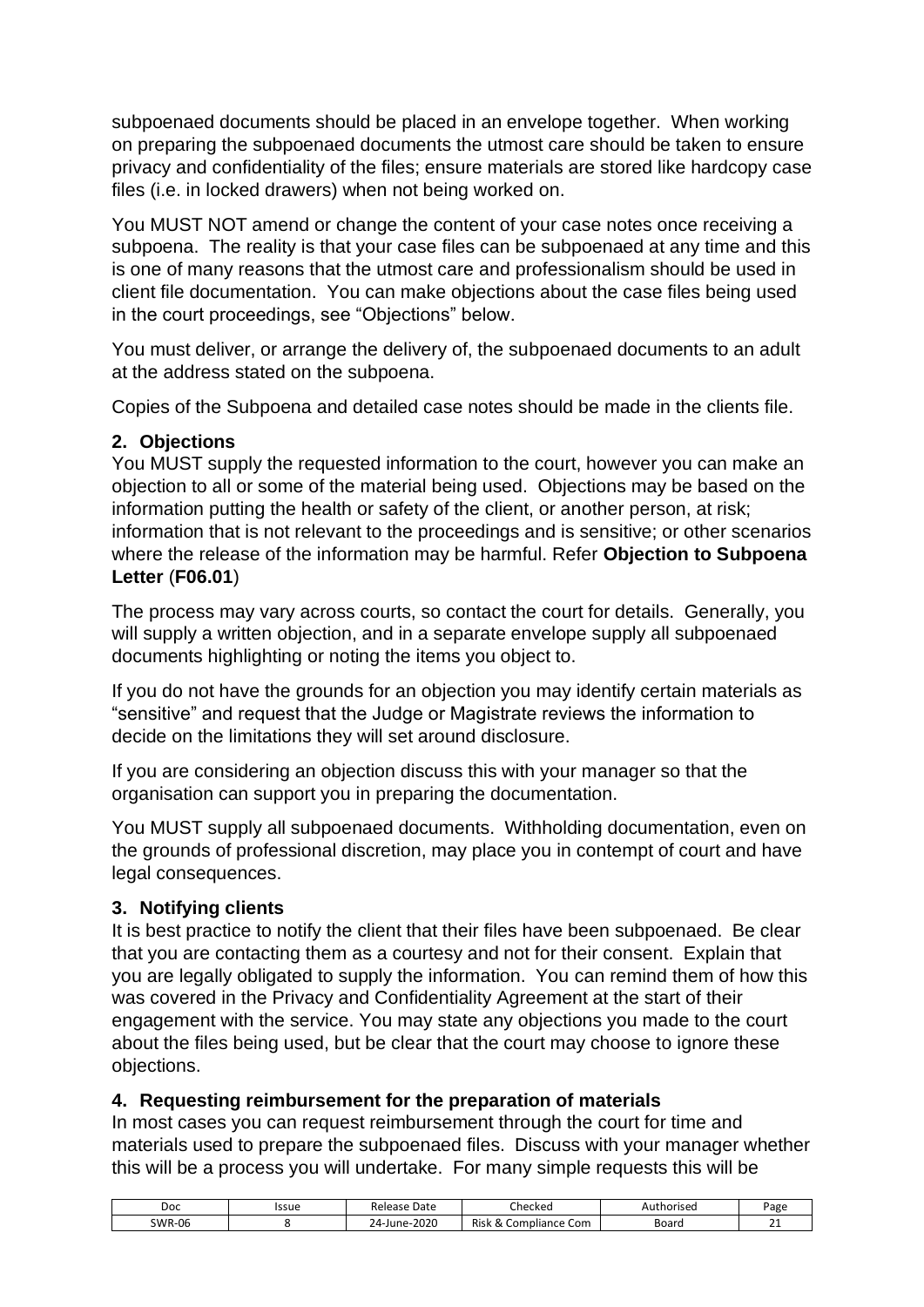subpoenaed documents should be placed in an envelope together. When working on preparing the subpoenaed documents the utmost care should be taken to ensure privacy and confidentiality of the files; ensure materials are stored like hardcopy case files (i.e. in locked drawers) when not being worked on.

You MUST NOT amend or change the content of your case notes once receiving a subpoena. The reality is that your case files can be subpoenaed at any time and this is one of many reasons that the utmost care and professionalism should be used in client file documentation. You can make objections about the case files being used in the court proceedings, see "Objections" below.

You must deliver, or arrange the delivery of, the subpoenaed documents to an adult at the address stated on the subpoena.

Copies of the Subpoena and detailed case notes should be made in the clients file.

#### <span id="page-20-0"></span>**2. Objections**

You MUST supply the requested information to the court, however you can make an objection to all or some of the material being used. Objections may be based on the information putting the health or safety of the client, or another person, at risk; information that is not relevant to the proceedings and is sensitive; or other scenarios where the release of the information may be harmful. Refer **Objection to Subpoena Letter** (**F06.01**)

The process may vary across courts, so contact the court for details. Generally, you will supply a written objection, and in a separate envelope supply all subpoenaed documents highlighting or noting the items you object to.

If you do not have the grounds for an objection you may identify certain materials as "sensitive" and request that the Judge or Magistrate reviews the information to decide on the limitations they will set around disclosure.

If you are considering an objection discuss this with your manager so that the organisation can support you in preparing the documentation.

You MUST supply all subpoenaed documents. Withholding documentation, even on the grounds of professional discretion, may place you in contempt of court and have legal consequences.

#### <span id="page-20-1"></span>**3. Notifying clients**

It is best practice to notify the client that their files have been subpoenaed. Be clear that you are contacting them as a courtesy and not for their consent. Explain that you are legally obligated to supply the information. You can remind them of how this was covered in the Privacy and Confidentiality Agreement at the start of their engagement with the service. You may state any objections you made to the court about the files being used, but be clear that the court may choose to ignore these objections.

#### <span id="page-20-2"></span>**4. Requesting reimbursement for the preparation of materials**

In most cases you can request reimbursement through the court for time and materials used to prepare the subpoenaed files. Discuss with your manager whether this will be a process you will undertake. For many simple requests this will be

| Doc           | Issue | Date<br>Release           | - 1<br>Checked                                               | Authorised | <sup>o</sup> age |
|---------------|-------|---------------------------|--------------------------------------------------------------|------------|------------------|
| <b>SWR-06</b> |       | $-2020$<br>$24-$<br>June- | <b>Risk</b><br>npliance Com<br>_om<br>$\scriptstyle{\alpha}$ | Board      | -<br><u>_</u>    |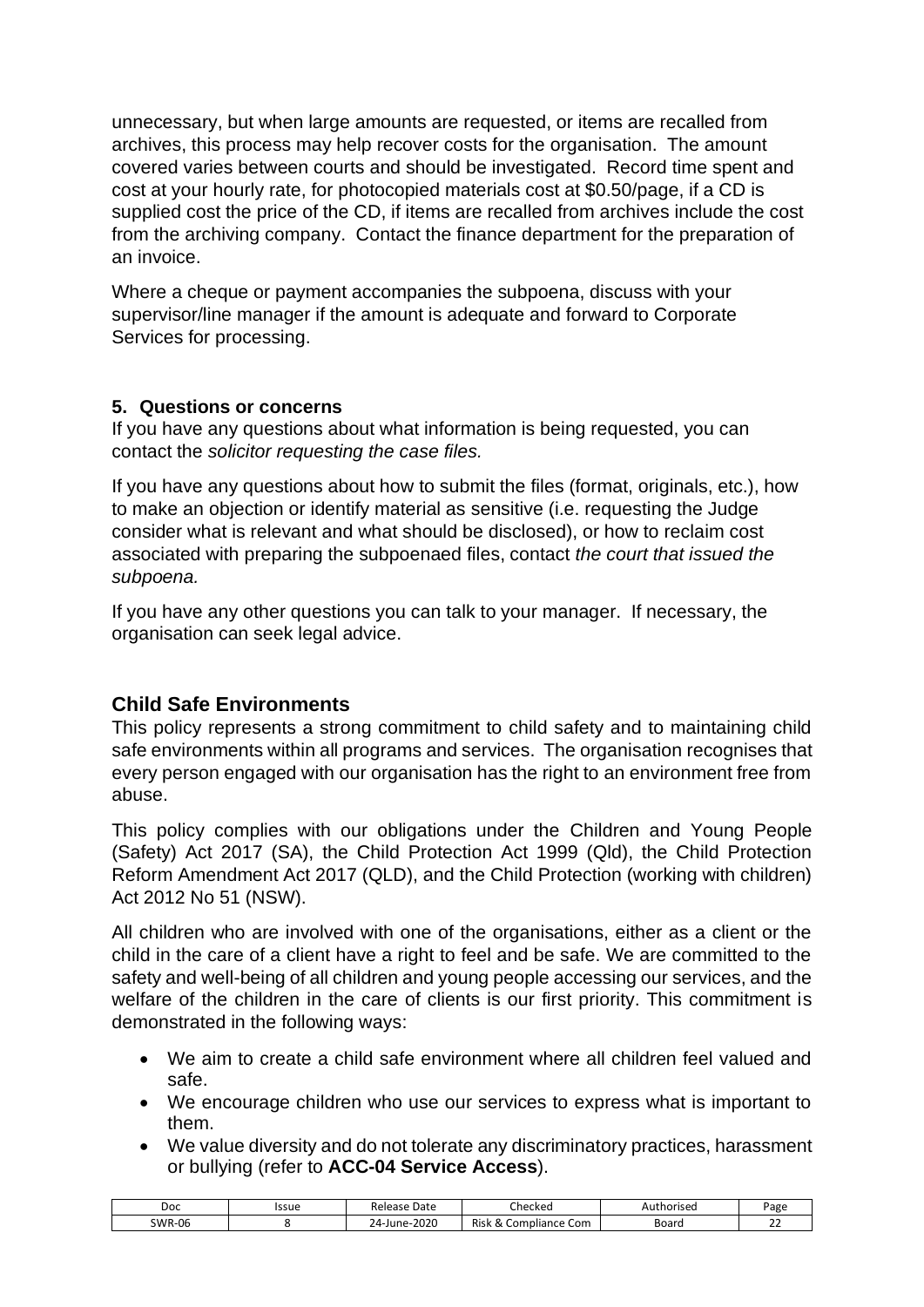unnecessary, but when large amounts are requested, or items are recalled from archives, this process may help recover costs for the organisation. The amount covered varies between courts and should be investigated. Record time spent and cost at your hourly rate, for photocopied materials cost at \$0.50/page, if a CD is supplied cost the price of the CD, if items are recalled from archives include the cost from the archiving company. Contact the finance department for the preparation of an invoice.

Where a cheque or payment accompanies the subpoena, discuss with your supervisor/line manager if the amount is adequate and forward to Corporate Services for processing.

#### <span id="page-21-0"></span>**5. Questions or concerns**

If you have any questions about what information is being requested, you can contact the *solicitor requesting the case files.*

If you have any questions about how to submit the files (format, originals, etc.), how to make an objection or identify material as sensitive (i.e. requesting the Judge consider what is relevant and what should be disclosed), or how to reclaim cost associated with preparing the subpoenaed files, contact *the court that issued the subpoena.*

If you have any other questions you can talk to your manager. If necessary, the organisation can seek legal advice.

#### <span id="page-21-1"></span>**Child Safe Environments**

This policy represents a strong commitment to child safety and to maintaining child safe environments within all programs and services. The organisation recognises that every person engaged with our organisation has the right to an environment free from abuse.

This policy complies with our obligations under the Children and Young People (Safety) Act 2017 (SA), the Child Protection Act 1999 (Qld), the Child Protection Reform Amendment Act 2017 (QLD), and the Child Protection (working with children) Act 2012 No 51 (NSW).

All children who are involved with one of the organisations, either as a client or the child in the care of a client have a right to feel and be safe. We are committed to the safety and well-being of all children and young people accessing our services, and the welfare of the children in the care of clients is our first priority. This commitment is demonstrated in the following ways:

- We aim to create a child safe environment where all children feel valued and safe.
- We encourage children who use our services to express what is important to them.
- We value diversity and do not tolerate any discriminatory practices, harassment or bullying (refer to **ACC-04 Service Access**).

| Doc           | Issue | Date<br>Release  | :hecked                                  | Authorised | <sup>o</sup> age |
|---------------|-------|------------------|------------------------------------------|------------|------------------|
| <b>SWR-06</b> |       | 2020<br>24-June- | 0<br>Risk<br>' Com<br>C<br>npliance<br>Δ | Board      | $\sim$<br>__     |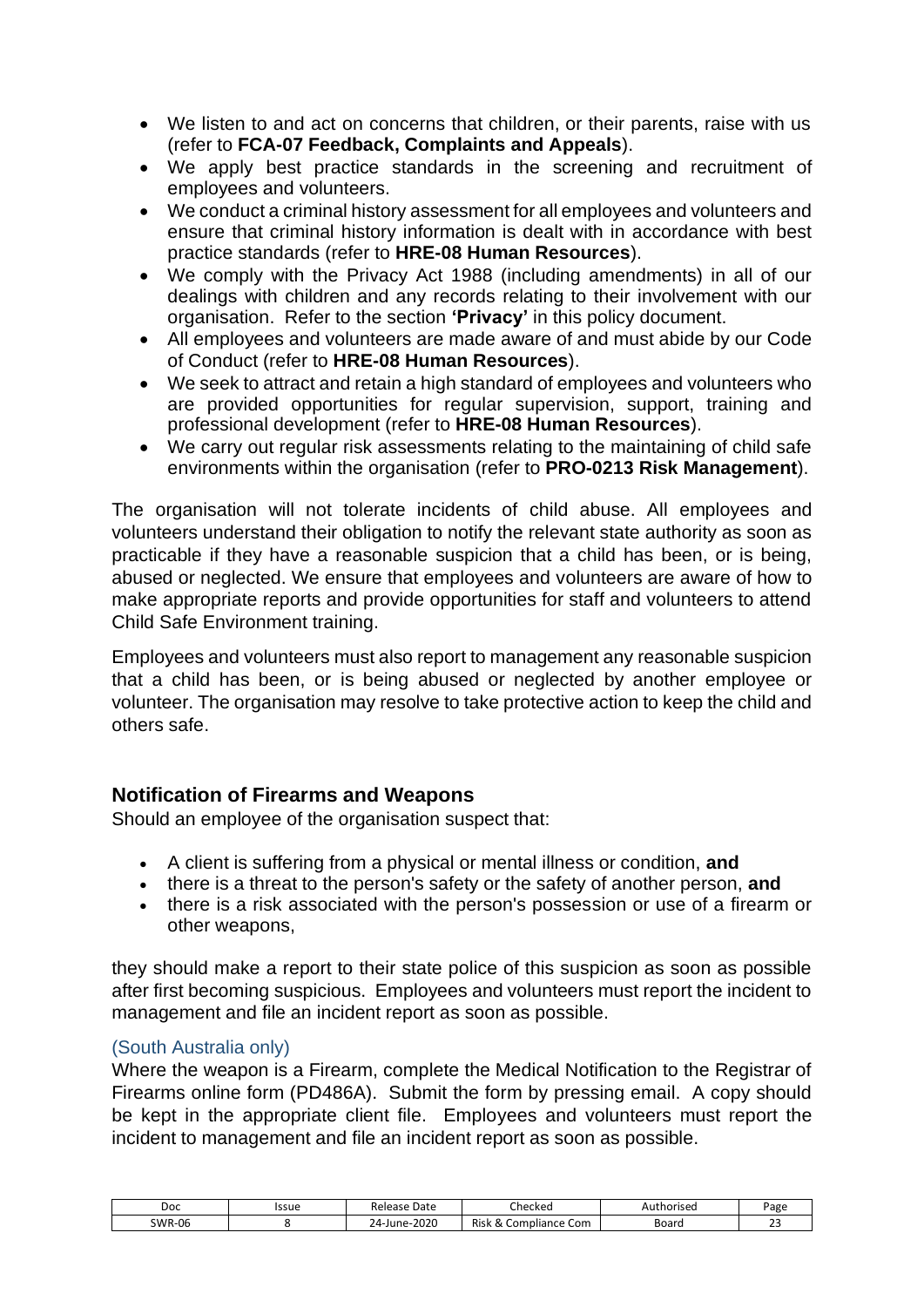- We listen to and act on concerns that children, or their parents, raise with us (refer to **FCA-07 Feedback, Complaints and Appeals**).
- We apply best practice standards in the screening and recruitment of employees and volunteers.
- We conduct a criminal history assessment for all employees and volunteers and ensure that criminal history information is dealt with in accordance with best practice standards (refer to **HRE-08 Human Resources**).
- We comply with the Privacy Act 1988 (including amendments) in all of our dealings with children and any records relating to their involvement with our organisation. Refer to the section **'Privacy'** in this policy document.
- All employees and volunteers are made aware of and must abide by our Code of Conduct (refer to **HRE-08 Human Resources**).
- We seek to attract and retain a high standard of employees and volunteers who are provided opportunities for regular supervision, support, training and professional development (refer to **HRE-08 Human Resources**).
- We carry out regular risk assessments relating to the maintaining of child safe environments within the organisation (refer to **PRO-0213 Risk Management**).

The organisation will not tolerate incidents of child abuse. All employees and volunteers understand their obligation to notify the relevant state authority as soon as practicable if they have a reasonable suspicion that a child has been, or is being, abused or neglected. We ensure that employees and volunteers are aware of how to make appropriate reports and provide opportunities for staff and volunteers to attend Child Safe Environment training.

Employees and volunteers must also report to management any reasonable suspicion that a child has been, or is being abused or neglected by another employee or volunteer. The organisation may resolve to take protective action to keep the child and others safe.

#### <span id="page-22-0"></span>**Notification of Firearms and Weapons**

Should an employee of the organisation suspect that:

- A client is suffering from a physical or mental illness or condition, **and**
- there is a threat to the person's safety or the safety of another person, **and**
- there is a risk associated with the person's possession or use of a firearm or other weapons,

they should make a report to their state police of this suspicion as soon as possible after first becoming suspicious. Employees and volunteers must report the incident to management and file an incident report as soon as possible.

#### <span id="page-22-1"></span>(South Australia only)

Where the weapon is a Firearm, complete the Medical Notification to the Registrar of Firearms online form (PD486A). Submit the form by pressing email. A copy should be kept in the appropriate client file. Employees and volunteers must report the incident to management and file an incident report as soon as possible.

| Doc    | Issue | Date<br>Release            | Checked                                | Authorised | Page          |
|--------|-------|----------------------------|----------------------------------------|------------|---------------|
| SWR-06 |       | $-2020$<br>$24$ -June- $2$ | <b>Risk</b><br>Com<br>Compliance<br>Ωv | Board      | ~<br><u>_</u> |